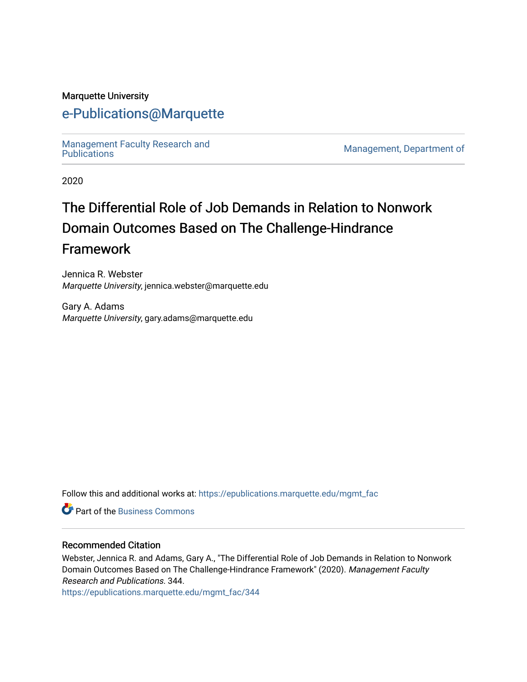#### Marquette University

# [e-Publications@Marquette](https://epublications.marquette.edu/)

Management Faculty Research and<br>Publications

Management, Department of

2020

# The Differential Role of Job Demands in Relation to Nonwork Domain Outcomes Based on The Challenge-Hindrance Framework

Jennica R. Webster Marquette University, jennica.webster@marquette.edu

Gary A. Adams Marquette University, gary.adams@marquette.edu

Follow this and additional works at: [https://epublications.marquette.edu/mgmt\\_fac](https://epublications.marquette.edu/mgmt_fac?utm_source=epublications.marquette.edu%2Fmgmt_fac%2F344&utm_medium=PDF&utm_campaign=PDFCoverPages) 

**P** Part of the [Business Commons](http://network.bepress.com/hgg/discipline/622?utm_source=epublications.marquette.edu%2Fmgmt_fac%2F344&utm_medium=PDF&utm_campaign=PDFCoverPages)

#### Recommended Citation

Webster, Jennica R. and Adams, Gary A., "The Differential Role of Job Demands in Relation to Nonwork Domain Outcomes Based on The Challenge-Hindrance Framework" (2020). Management Faculty Research and Publications. 344.

[https://epublications.marquette.edu/mgmt\\_fac/344](https://epublications.marquette.edu/mgmt_fac/344?utm_source=epublications.marquette.edu%2Fmgmt_fac%2F344&utm_medium=PDF&utm_campaign=PDFCoverPages)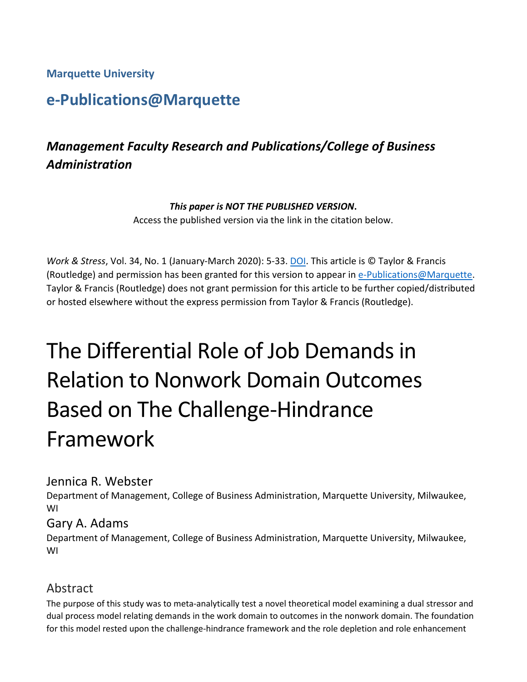**Marquette University**

# **e-Publications@Marquette**

# *Management Faculty Research and Publications/College of Business Administration*

#### *This paper is NOT THE PUBLISHED VERSION***.**

Access the published version via the link in the citation below.

*Work & Stress*, Vol. 34, No. 1 (January-March 2020): 5-33. [DOI.](https://doi.org/10.1080/02678373.2019.1662855) This article is © Taylor & Francis (Routledge) and permission has been granted for this version to appear in [e-Publications@Marquette.](http://epublications.marquette.edu/) Taylor & Francis (Routledge) does not grant permission for this article to be further copied/distributed or hosted elsewhere without the express permission from Taylor & Francis (Routledge).

# The Differential Role of Job Demands in Relation to Nonwork Domain Outcomes Based on The Challenge-Hindrance Framework

#### Jennica R. Webster

Department of Management, College of Business Administration, Marquette University, Milwaukee, WI

#### Gary A. Adams

Department of Management, College of Business Administration, Marquette University, Milwaukee, WI

# Abstract

The purpose of this study was to meta-analytically test a novel theoretical model examining a dual stressor and dual process model relating demands in the work domain to outcomes in the nonwork domain. The foundation for this model rested upon the challenge-hindrance framework and the role depletion and role enhancement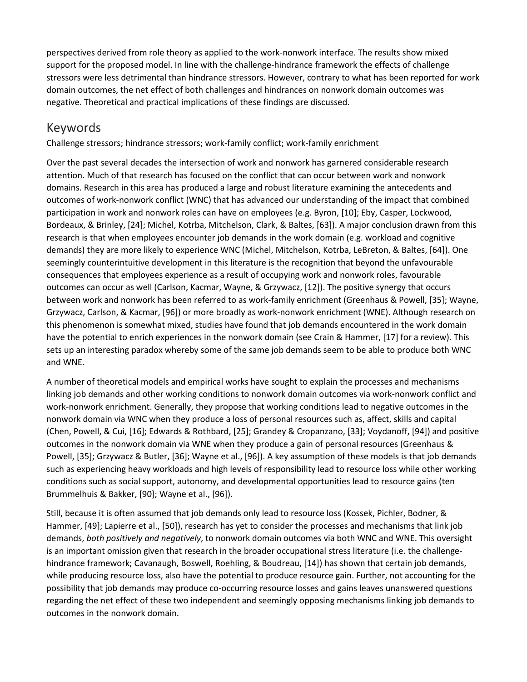perspectives derived from role theory as applied to the work-nonwork interface. The results show mixed support for the proposed model. In line with the challenge-hindrance framework the effects of challenge stressors were less detrimental than hindrance stressors. However, contrary to what has been reported for work domain outcomes, the net effect of both challenges and hindrances on nonwork domain outcomes was negative. Theoretical and practical implications of these findings are discussed.

## Keywords

Challenge stressors; hindrance stressors; work-family conflict; work-family enrichment

Over the past several decades the intersection of work and nonwork has garnered considerable research attention. Much of that research has focused on the conflict that can occur between work and nonwork domains. Research in this area has produced a large and robust literature examining the antecedents and outcomes of work-nonwork conflict (WNC) that has advanced our understanding of the impact that combined participation in work and nonwork roles can have on employees (e.g. Byron, [10]; Eby, Casper, Lockwood, Bordeaux, & Brinley, [24]; Michel, Kotrba, Mitchelson, Clark, & Baltes, [63]). A major conclusion drawn from this research is that when employees encounter job demands in the work domain (e.g. workload and cognitive demands) they are more likely to experience WNC (Michel, Mitchelson, Kotrba, LeBreton, & Baltes, [64]). One seemingly counterintuitive development in this literature is the recognition that beyond the unfavourable consequences that employees experience as a result of occupying work and nonwork roles, favourable outcomes can occur as well (Carlson, Kacmar, Wayne, & Grzywacz, [12]). The positive synergy that occurs between work and nonwork has been referred to as work-family enrichment (Greenhaus & Powell, [35]; Wayne, Grzywacz, Carlson, & Kacmar, [96]) or more broadly as work-nonwork enrichment (WNE). Although research on this phenomenon is somewhat mixed, studies have found that job demands encountered in the work domain have the potential to enrich experiences in the nonwork domain (see Crain & Hammer, [17] for a review). This sets up an interesting paradox whereby some of the same job demands seem to be able to produce both WNC and WNE.

A number of theoretical models and empirical works have sought to explain the processes and mechanisms linking job demands and other working conditions to nonwork domain outcomes via work-nonwork conflict and work-nonwork enrichment. Generally, they propose that working conditions lead to negative outcomes in the nonwork domain via WNC when they produce a loss of personal resources such as, affect, skills and capital (Chen, Powell, & Cui, [16]; Edwards & Rothbard, [25]; Grandey & Cropanzano, [33]; Voydanoff, [94]) and positive outcomes in the nonwork domain via WNE when they produce a gain of personal resources (Greenhaus & Powell, [35]; Grzywacz & Butler, [36]; Wayne et al., [96]). A key assumption of these models is that job demands such as experiencing heavy workloads and high levels of responsibility lead to resource loss while other working conditions such as social support, autonomy, and developmental opportunities lead to resource gains (ten Brummelhuis & Bakker, [90]; Wayne et al., [96]).

Still, because it is often assumed that job demands only lead to resource loss (Kossek, Pichler, Bodner, & Hammer, [49]; Lapierre et al., [50]), research has yet to consider the processes and mechanisms that link job demands, *both positively and negatively*, to nonwork domain outcomes via both WNC and WNE. This oversight is an important omission given that research in the broader occupational stress literature (i.e. the challengehindrance framework; Cavanaugh, Boswell, Roehling, & Boudreau, [14]) has shown that certain job demands, while producing resource loss, also have the potential to produce resource gain. Further, not accounting for the possibility that job demands may produce co-occurring resource losses and gains leaves unanswered questions regarding the net effect of these two independent and seemingly opposing mechanisms linking job demands to outcomes in the nonwork domain.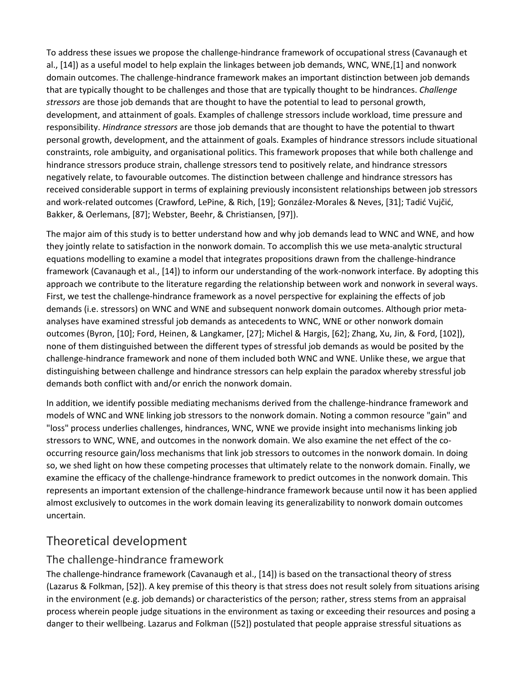To address these issues we propose the challenge-hindrance framework of occupational stress (Cavanaugh et al., [14]) as a useful model to help explain the linkages between job demands, WNC, WNE,[1] and nonwork domain outcomes. The challenge-hindrance framework makes an important distinction between job demands that are typically thought to be challenges and those that are typically thought to be hindrances. *Challenge stressors* are those job demands that are thought to have the potential to lead to personal growth, development, and attainment of goals. Examples of challenge stressors include workload, time pressure and responsibility. *Hindrance stressors* are those job demands that are thought to have the potential to thwart personal growth, development, and the attainment of goals. Examples of hindrance stressors include situational constraints, role ambiguity, and organisational politics. This framework proposes that while both challenge and hindrance stressors produce strain, challenge stressors tend to positively relate, and hindrance stressors negatively relate, to favourable outcomes. The distinction between challenge and hindrance stressors has received considerable support in terms of explaining previously inconsistent relationships between job stressors and work-related outcomes (Crawford, LePine, & Rich, [19]; González-Morales & Neves, [31]; Tadić Vujčić, Bakker, & Oerlemans, [87]; Webster, Beehr, & Christiansen, [97]).

The major aim of this study is to better understand how and why job demands lead to WNC and WNE, and how they jointly relate to satisfaction in the nonwork domain. To accomplish this we use meta-analytic structural equations modelling to examine a model that integrates propositions drawn from the challenge-hindrance framework (Cavanaugh et al., [14]) to inform our understanding of the work-nonwork interface. By adopting this approach we contribute to the literature regarding the relationship between work and nonwork in several ways. First, we test the challenge-hindrance framework as a novel perspective for explaining the effects of job demands (i.e. stressors) on WNC and WNE and subsequent nonwork domain outcomes. Although prior metaanalyses have examined stressful job demands as antecedents to WNC, WNE or other nonwork domain outcomes (Byron, [10]; Ford, Heinen, & Langkamer, [27]; Michel & Hargis, [62]; Zhang, Xu, Jin, & Ford, [102]), none of them distinguished between the different types of stressful job demands as would be posited by the challenge-hindrance framework and none of them included both WNC and WNE. Unlike these, we argue that distinguishing between challenge and hindrance stressors can help explain the paradox whereby stressful job demands both conflict with and/or enrich the nonwork domain.

In addition, we identify possible mediating mechanisms derived from the challenge-hindrance framework and models of WNC and WNE linking job stressors to the nonwork domain. Noting a common resource "gain" and "loss" process underlies challenges, hindrances, WNC, WNE we provide insight into mechanisms linking job stressors to WNC, WNE, and outcomes in the nonwork domain. We also examine the net effect of the cooccurring resource gain/loss mechanisms that link job stressors to outcomes in the nonwork domain. In doing so, we shed light on how these competing processes that ultimately relate to the nonwork domain. Finally, we examine the efficacy of the challenge-hindrance framework to predict outcomes in the nonwork domain. This represents an important extension of the challenge-hindrance framework because until now it has been applied almost exclusively to outcomes in the work domain leaving its generalizability to nonwork domain outcomes uncertain.

# Theoretical development

#### The challenge-hindrance framework

The challenge-hindrance framework (Cavanaugh et al., [14]) is based on the transactional theory of stress (Lazarus & Folkman, [52]). A key premise of this theory is that stress does not result solely from situations arising in the environment (e.g. job demands) or characteristics of the person; rather, stress stems from an appraisal process wherein people judge situations in the environment as taxing or exceeding their resources and posing a danger to their wellbeing. Lazarus and Folkman ([52]) postulated that people appraise stressful situations as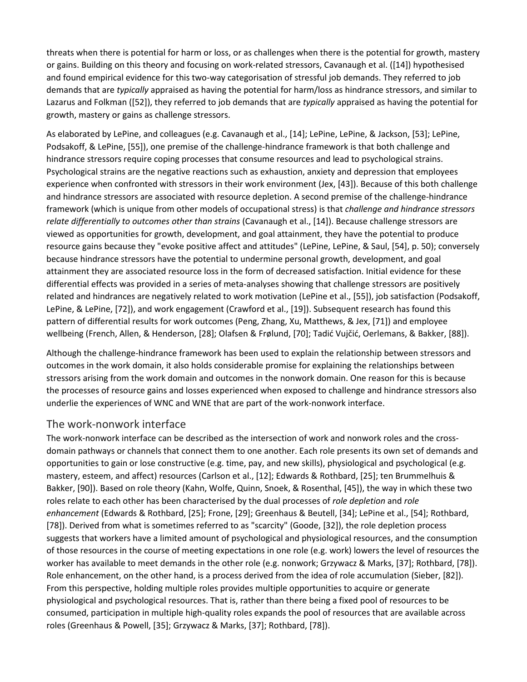threats when there is potential for harm or loss, or as challenges when there is the potential for growth, mastery or gains. Building on this theory and focusing on work-related stressors, Cavanaugh et al. ([14]) hypothesised and found empirical evidence for this two-way categorisation of stressful job demands. They referred to job demands that are *typically* appraised as having the potential for harm/loss as hindrance stressors, and similar to Lazarus and Folkman ([52]), they referred to job demands that are *typically* appraised as having the potential for growth, mastery or gains as challenge stressors.

As elaborated by LePine, and colleagues (e.g. Cavanaugh et al., [14]; LePine, LePine, & Jackson, [53]; LePine, Podsakoff, & LePine, [55]), one premise of the challenge-hindrance framework is that both challenge and hindrance stressors require coping processes that consume resources and lead to psychological strains. Psychological strains are the negative reactions such as exhaustion, anxiety and depression that employees experience when confronted with stressors in their work environment (Jex, [43]). Because of this both challenge and hindrance stressors are associated with resource depletion. A second premise of the challenge-hindrance framework (which is unique from other models of occupational stress) is that *challenge and hindrance stressors relate differentially to outcomes other than strains* (Cavanaugh et al., [14]). Because challenge stressors are viewed as opportunities for growth, development, and goal attainment, they have the potential to produce resource gains because they "evoke positive affect and attitudes" (LePine, LePine, & Saul, [54], p. 50); conversely because hindrance stressors have the potential to undermine personal growth, development, and goal attainment they are associated resource loss in the form of decreased satisfaction. Initial evidence for these differential effects was provided in a series of meta-analyses showing that challenge stressors are positively related and hindrances are negatively related to work motivation (LePine et al., [55]), job satisfaction (Podsakoff, LePine, & LePine, [72]), and work engagement (Crawford et al., [19]). Subsequent research has found this pattern of differential results for work outcomes (Peng, Zhang, Xu, Matthews, & Jex, [71]) and employee wellbeing (French, Allen, & Henderson, [28]; Olafsen & Frølund, [70]; Tadić Vujčić, Oerlemans, & Bakker, [88]).

Although the challenge-hindrance framework has been used to explain the relationship between stressors and outcomes in the work domain, it also holds considerable promise for explaining the relationships between stressors arising from the work domain and outcomes in the nonwork domain. One reason for this is because the processes of resource gains and losses experienced when exposed to challenge and hindrance stressors also underlie the experiences of WNC and WNE that are part of the work-nonwork interface.

#### The work-nonwork interface

The work-nonwork interface can be described as the intersection of work and nonwork roles and the crossdomain pathways or channels that connect them to one another. Each role presents its own set of demands and opportunities to gain or lose constructive (e.g. time, pay, and new skills), physiological and psychological (e.g. mastery, esteem, and affect) resources (Carlson et al., [12]; Edwards & Rothbard, [25]; ten Brummelhuis & Bakker, [90]). Based on role theory (Kahn, Wolfe, Quinn, Snoek, & Rosenthal, [45]), the way in which these two roles relate to each other has been characterised by the dual processes of *role depletion* and *role enhancement* (Edwards & Rothbard, [25]; Frone, [29]; Greenhaus & Beutell, [34]; LePine et al., [54]; Rothbard, [78]). Derived from what is sometimes referred to as "scarcity" (Goode, [32]), the role depletion process suggests that workers have a limited amount of psychological and physiological resources, and the consumption of those resources in the course of meeting expectations in one role (e.g. work) lowers the level of resources the worker has available to meet demands in the other role (e.g. nonwork; Grzywacz & Marks, [37]; Rothbard, [78]). Role enhancement, on the other hand, is a process derived from the idea of role accumulation (Sieber, [82]). From this perspective, holding multiple roles provides multiple opportunities to acquire or generate physiological and psychological resources. That is, rather than there being a fixed pool of resources to be consumed, participation in multiple high-quality roles expands the pool of resources that are available across roles (Greenhaus & Powell, [35]; Grzywacz & Marks, [37]; Rothbard, [78]).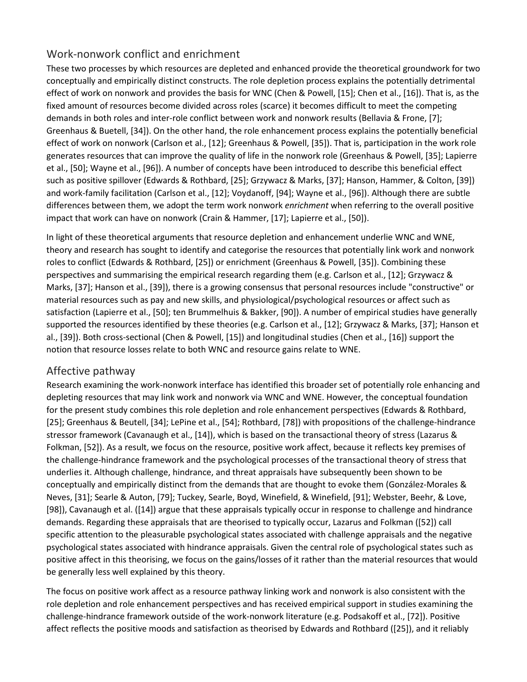#### Work-nonwork conflict and enrichment

These two processes by which resources are depleted and enhanced provide the theoretical groundwork for two conceptually and empirically distinct constructs. The role depletion process explains the potentially detrimental effect of work on nonwork and provides the basis for WNC (Chen & Powell, [15]; Chen et al., [16]). That is, as the fixed amount of resources become divided across roles (scarce) it becomes difficult to meet the competing demands in both roles and inter-role conflict between work and nonwork results (Bellavia & Frone, [7]; Greenhaus & Buetell, [34]). On the other hand, the role enhancement process explains the potentially beneficial effect of work on nonwork (Carlson et al., [12]; Greenhaus & Powell, [35]). That is, participation in the work role generates resources that can improve the quality of life in the nonwork role (Greenhaus & Powell, [35]; Lapierre et al., [50]; Wayne et al., [96]). A number of concepts have been introduced to describe this beneficial effect such as positive spillover (Edwards & Rothbard, [25]; Grzywacz & Marks, [37]; Hanson, Hammer, & Colton, [39]) and work-family facilitation (Carlson et al., [12]; Voydanoff, [94]; Wayne et al., [96]). Although there are subtle differences between them, we adopt the term work nonwork *enrichment* when referring to the overall positive impact that work can have on nonwork (Crain & Hammer, [17]; Lapierre et al., [50]).

In light of these theoretical arguments that resource depletion and enhancement underlie WNC and WNE, theory and research has sought to identify and categorise the resources that potentially link work and nonwork roles to conflict (Edwards & Rothbard, [25]) or enrichment (Greenhaus & Powell, [35]). Combining these perspectives and summarising the empirical research regarding them (e.g. Carlson et al., [12]; Grzywacz & Marks, [37]; Hanson et al., [39]), there is a growing consensus that personal resources include "constructive" or material resources such as pay and new skills, and physiological/psychological resources or affect such as satisfaction (Lapierre et al., [50]; ten Brummelhuis & Bakker, [90]). A number of empirical studies have generally supported the resources identified by these theories (e.g. Carlson et al., [12]; Grzywacz & Marks, [37]; Hanson et al., [39]). Both cross-sectional (Chen & Powell, [15]) and longitudinal studies (Chen et al., [16]) support the notion that resource losses relate to both WNC and resource gains relate to WNE.

#### Affective pathway

Research examining the work-nonwork interface has identified this broader set of potentially role enhancing and depleting resources that may link work and nonwork via WNC and WNE. However, the conceptual foundation for the present study combines this role depletion and role enhancement perspectives (Edwards & Rothbard, [25]; Greenhaus & Beutell, [34]; LePine et al., [54]; Rothbard, [78]) with propositions of the challenge-hindrance stressor framework (Cavanaugh et al., [14]), which is based on the transactional theory of stress (Lazarus & Folkman, [52]). As a result, we focus on the resource, positive work affect, because it reflects key premises of the challenge-hindrance framework and the psychological processes of the transactional theory of stress that underlies it. Although challenge, hindrance, and threat appraisals have subsequently been shown to be conceptually and empirically distinct from the demands that are thought to evoke them (González-Morales & Neves, [31]; Searle & Auton, [79]; Tuckey, Searle, Boyd, Winefield, & Winefield, [91]; Webster, Beehr, & Love, [98]), Cavanaugh et al. ([14]) argue that these appraisals typically occur in response to challenge and hindrance demands. Regarding these appraisals that are theorised to typically occur, Lazarus and Folkman ([52]) call specific attention to the pleasurable psychological states associated with challenge appraisals and the negative psychological states associated with hindrance appraisals. Given the central role of psychological states such as positive affect in this theorising, we focus on the gains/losses of it rather than the material resources that would be generally less well explained by this theory.

The focus on positive work affect as a resource pathway linking work and nonwork is also consistent with the role depletion and role enhancement perspectives and has received empirical support in studies examining the challenge-hindrance framework outside of the work-nonwork literature (e.g. Podsakoff et al., [72]). Positive affect reflects the positive moods and satisfaction as theorised by Edwards and Rothbard ([25]), and it reliably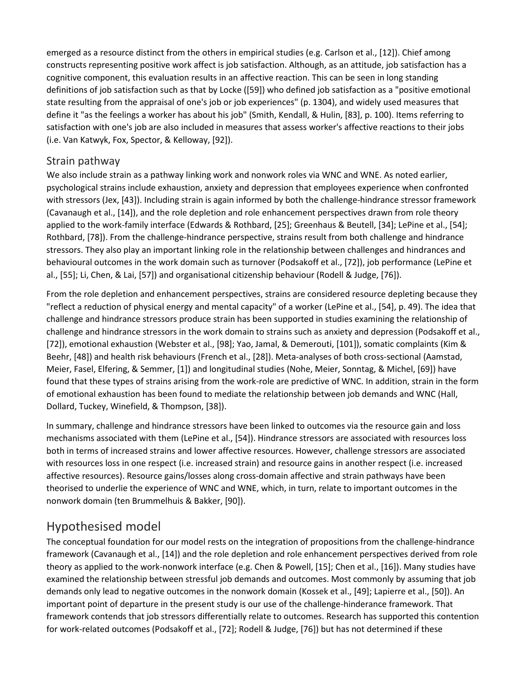emerged as a resource distinct from the others in empirical studies (e.g. Carlson et al., [12]). Chief among constructs representing positive work affect is job satisfaction. Although, as an attitude, job satisfaction has a cognitive component, this evaluation results in an affective reaction. This can be seen in long standing definitions of job satisfaction such as that by Locke ([59]) who defined job satisfaction as a "positive emotional state resulting from the appraisal of one's job or job experiences" (p. 1304), and widely used measures that define it "as the feelings a worker has about his job" (Smith, Kendall, & Hulin, [83], p. 100). Items referring to satisfaction with one's job are also included in measures that assess worker's affective reactions to their jobs (i.e. Van Katwyk, Fox, Spector, & Kelloway, [92]).

#### Strain pathway

We also include strain as a pathway linking work and nonwork roles via WNC and WNE. As noted earlier, psychological strains include exhaustion, anxiety and depression that employees experience when confronted with stressors (Jex, [43]). Including strain is again informed by both the challenge-hindrance stressor framework (Cavanaugh et al., [14]), and the role depletion and role enhancement perspectives drawn from role theory applied to the work-family interface (Edwards & Rothbard, [25]; Greenhaus & Beutell, [34]; LePine et al., [54]; Rothbard, [78]). From the challenge-hindrance perspective, strains result from both challenge and hindrance stressors. They also play an important linking role in the relationship between challenges and hindrances and behavioural outcomes in the work domain such as turnover (Podsakoff et al., [72]), job performance (LePine et al., [55]; Li, Chen, & Lai, [57]) and organisational citizenship behaviour (Rodell & Judge, [76]).

From the role depletion and enhancement perspectives, strains are considered resource depleting because they "reflect a reduction of physical energy and mental capacity" of a worker (LePine et al., [54], p. 49). The idea that challenge and hindrance stressors produce strain has been supported in studies examining the relationship of challenge and hindrance stressors in the work domain to strains such as anxiety and depression (Podsakoff et al., [72]), emotional exhaustion (Webster et al., [98]; Yao, Jamal, & Demerouti, [101]), somatic complaints (Kim & Beehr, [48]) and health risk behaviours (French et al., [28]). Meta-analyses of both cross-sectional (Aamstad, Meier, Fasel, Elfering, & Semmer, [1]) and longitudinal studies (Nohe, Meier, Sonntag, & Michel, [69]) have found that these types of strains arising from the work-role are predictive of WNC. In addition, strain in the form of emotional exhaustion has been found to mediate the relationship between job demands and WNC (Hall, Dollard, Tuckey, Winefield, & Thompson, [38]).

In summary, challenge and hindrance stressors have been linked to outcomes via the resource gain and loss mechanisms associated with them (LePine et al., [54]). Hindrance stressors are associated with resources loss both in terms of increased strains and lower affective resources. However, challenge stressors are associated with resources loss in one respect (i.e. increased strain) and resource gains in another respect (i.e. increased affective resources). Resource gains/losses along cross-domain affective and strain pathways have been theorised to underlie the experience of WNC and WNE, which, in turn, relate to important outcomes in the nonwork domain (ten Brummelhuis & Bakker, [90]).

# Hypothesised model

The conceptual foundation for our model rests on the integration of propositions from the challenge-hindrance framework (Cavanaugh et al., [14]) and the role depletion and role enhancement perspectives derived from role theory as applied to the work-nonwork interface (e.g. Chen & Powell, [15]; Chen et al., [16]). Many studies have examined the relationship between stressful job demands and outcomes. Most commonly by assuming that job demands only lead to negative outcomes in the nonwork domain (Kossek et al., [49]; Lapierre et al., [50]). An important point of departure in the present study is our use of the challenge-hinderance framework. That framework contends that job stressors differentially relate to outcomes. Research has supported this contention for work-related outcomes (Podsakoff et al., [72]; Rodell & Judge, [76]) but has not determined if these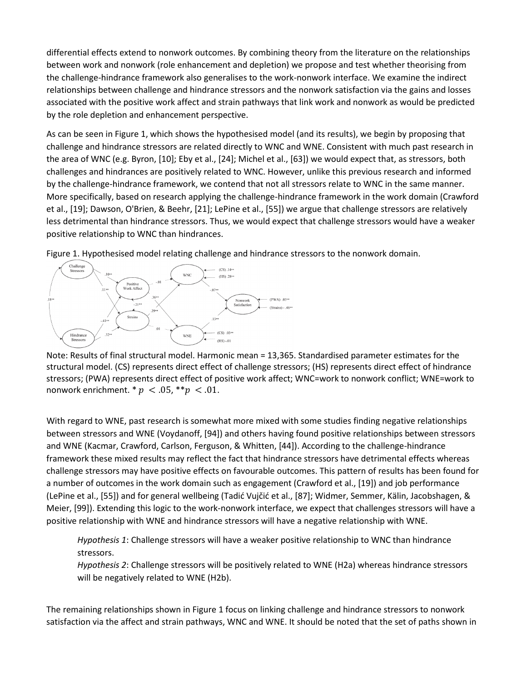differential effects extend to nonwork outcomes. By combining theory from the literature on the relationships between work and nonwork (role enhancement and depletion) we propose and test whether theorising from the challenge-hindrance framework also generalises to the work-nonwork interface. We examine the indirect relationships between challenge and hindrance stressors and the nonwork satisfaction via the gains and losses associated with the positive work affect and strain pathways that link work and nonwork as would be predicted by the role depletion and enhancement perspective.

As can be seen in Figure 1, which shows the hypothesised model (and its results), we begin by proposing that challenge and hindrance stressors are related directly to WNC and WNE. Consistent with much past research in the area of WNC (e.g. Byron, [10]; Eby et al., [24]; Michel et al., [63]) we would expect that, as stressors, both challenges and hindrances are positively related to WNC. However, unlike this previous research and informed by the challenge-hindrance framework, we contend that not all stressors relate to WNC in the same manner. More specifically, based on research applying the challenge-hindrance framework in the work domain (Crawford et al., [19]; Dawson, O'Brien, & Beehr, [21]; LePine et al., [55]) we argue that challenge stressors are relatively less detrimental than hindrance stressors. Thus, we would expect that challenge stressors would have a weaker positive relationship to WNC than hindrances.



Figure 1. Hypothesised model relating challenge and hindrance stressors to the nonwork domain.

Note: Results of final structural model. Harmonic mean = 13,365. Standardised parameter estimates for the structural model. (CS) represents direct effect of challenge stressors; (HS) represents direct effect of hindrance stressors; (PWA) represents direct effect of positive work affect; WNC=work to nonwork conflict; WNE=work to nonwork enrichment. \*  $p < .05$ , \*\* $p < .01$ .

With regard to WNE, past research is somewhat more mixed with some studies finding negative relationships between stressors and WNE (Voydanoff, [94]) and others having found positive relationships between stressors and WNE (Kacmar, Crawford, Carlson, Ferguson, & Whitten, [44]). According to the challenge-hindrance framework these mixed results may reflect the fact that hindrance stressors have detrimental effects whereas challenge stressors may have positive effects on favourable outcomes. This pattern of results has been found for a number of outcomes in the work domain such as engagement (Crawford et al., [19]) and job performance (LePine et al., [55]) and for general wellbeing (Tadić Vujčić et al., [87]; Widmer, Semmer, Kälin, Jacobshagen, & Meier, [99]). Extending this logic to the work-nonwork interface, we expect that challenges stressors will have a positive relationship with WNE and hindrance stressors will have a negative relationship with WNE.

*Hypothesis 1*: Challenge stressors will have a weaker positive relationship to WNC than hindrance stressors.

*Hypothesis 2*: Challenge stressors will be positively related to WNE (H2a) whereas hindrance stressors will be negatively related to WNE (H2b).

The remaining relationships shown in Figure 1 focus on linking challenge and hindrance stressors to nonwork satisfaction via the affect and strain pathways, WNC and WNE. It should be noted that the set of paths shown in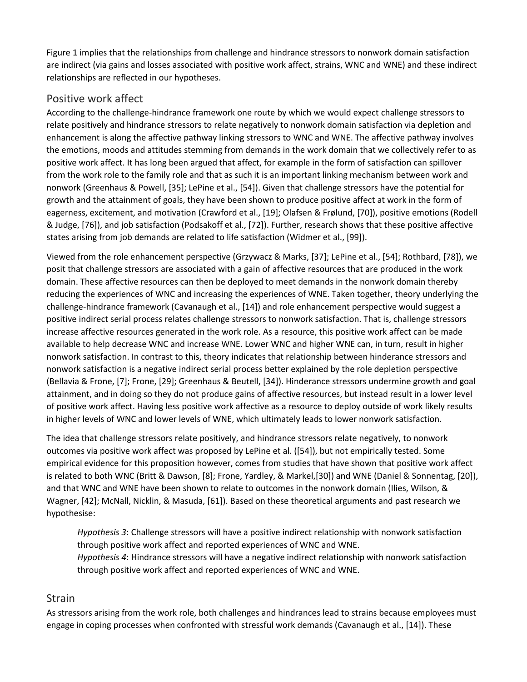Figure 1 implies that the relationships from challenge and hindrance stressors to nonwork domain satisfaction are indirect (via gains and losses associated with positive work affect, strains, WNC and WNE) and these indirect relationships are reflected in our hypotheses.

#### Positive work affect

According to the challenge-hindrance framework one route by which we would expect challenge stressors to relate positively and hindrance stressors to relate negatively to nonwork domain satisfaction via depletion and enhancement is along the affective pathway linking stressors to WNC and WNE. The affective pathway involves the emotions, moods and attitudes stemming from demands in the work domain that we collectively refer to as positive work affect. It has long been argued that affect, for example in the form of satisfaction can spillover from the work role to the family role and that as such it is an important linking mechanism between work and nonwork (Greenhaus & Powell, [35]; LePine et al., [54]). Given that challenge stressors have the potential for growth and the attainment of goals, they have been shown to produce positive affect at work in the form of eagerness, excitement, and motivation (Crawford et al., [19]; Olafsen & Frølund, [70]), positive emotions (Rodell & Judge, [76]), and job satisfaction (Podsakoff et al., [72]). Further, research shows that these positive affective states arising from job demands are related to life satisfaction (Widmer et al., [99]).

Viewed from the role enhancement perspective (Grzywacz & Marks, [37]; LePine et al., [54]; Rothbard, [78]), we posit that challenge stressors are associated with a gain of affective resources that are produced in the work domain. These affective resources can then be deployed to meet demands in the nonwork domain thereby reducing the experiences of WNC and increasing the experiences of WNE. Taken together, theory underlying the challenge-hindrance framework (Cavanaugh et al., [14]) and role enhancement perspective would suggest a positive indirect serial process relates challenge stressors to nonwork satisfaction. That is, challenge stressors increase affective resources generated in the work role. As a resource, this positive work affect can be made available to help decrease WNC and increase WNE. Lower WNC and higher WNE can, in turn, result in higher nonwork satisfaction. In contrast to this, theory indicates that relationship between hinderance stressors and nonwork satisfaction is a negative indirect serial process better explained by the role depletion perspective (Bellavia & Frone, [7]; Frone, [29]; Greenhaus & Beutell, [34]). Hinderance stressors undermine growth and goal attainment, and in doing so they do not produce gains of affective resources, but instead result in a lower level of positive work affect. Having less positive work affective as a resource to deploy outside of work likely results in higher levels of WNC and lower levels of WNE, which ultimately leads to lower nonwork satisfaction.

The idea that challenge stressors relate positively, and hindrance stressors relate negatively, to nonwork outcomes via positive work affect was proposed by LePine et al. ([54]), but not empirically tested. Some empirical evidence for this proposition however, comes from studies that have shown that positive work affect is related to both WNC (Britt & Dawson, [8]; Frone, Yardley, & Markel,[30]) and WNE (Daniel & Sonnentag, [20]), and that WNC and WNE have been shown to relate to outcomes in the nonwork domain (Ilies, Wilson, & Wagner, [42]; McNall, Nicklin, & Masuda, [61]). Based on these theoretical arguments and past research we hypothesise:

*Hypothesis 3*: Challenge stressors will have a positive indirect relationship with nonwork satisfaction through positive work affect and reported experiences of WNC and WNE. *Hypothesis 4*: Hindrance stressors will have a negative indirect relationship with nonwork satisfaction through positive work affect and reported experiences of WNC and WNE.

#### Strain

As stressors arising from the work role, both challenges and hindrances lead to strains because employees must engage in coping processes when confronted with stressful work demands (Cavanaugh et al., [14]). These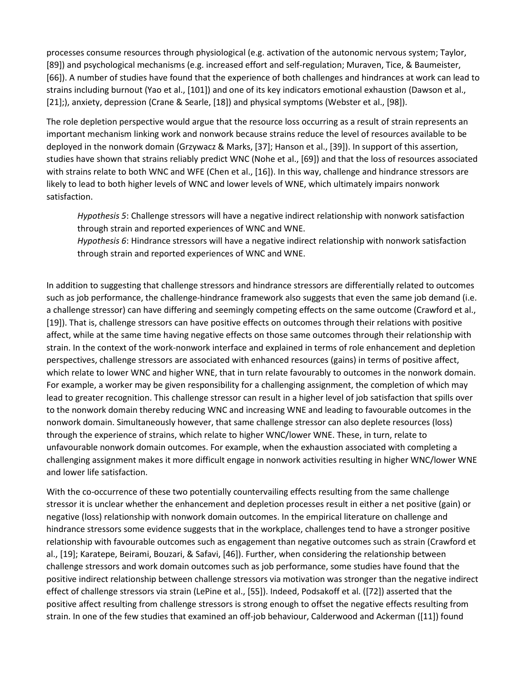processes consume resources through physiological (e.g. activation of the autonomic nervous system; Taylor, [89]) and psychological mechanisms (e.g. increased effort and self-regulation; Muraven, Tice, & Baumeister, [66]). A number of studies have found that the experience of both challenges and hindrances at work can lead to strains including burnout (Yao et al., [101]) and one of its key indicators emotional exhaustion (Dawson et al., [21];), anxiety, depression (Crane & Searle, [18]) and physical symptoms (Webster et al., [98]).

The role depletion perspective would argue that the resource loss occurring as a result of strain represents an important mechanism linking work and nonwork because strains reduce the level of resources available to be deployed in the nonwork domain (Grzywacz & Marks, [37]; Hanson et al., [39]). In support of this assertion, studies have shown that strains reliably predict WNC (Nohe et al., [69]) and that the loss of resources associated with strains relate to both WNC and WFE (Chen et al., [16]). In this way, challenge and hindrance stressors are likely to lead to both higher levels of WNC and lower levels of WNE, which ultimately impairs nonwork satisfaction.

*Hypothesis 5*: Challenge stressors will have a negative indirect relationship with nonwork satisfaction through strain and reported experiences of WNC and WNE.

*Hypothesis 6*: Hindrance stressors will have a negative indirect relationship with nonwork satisfaction through strain and reported experiences of WNC and WNE.

In addition to suggesting that challenge stressors and hindrance stressors are differentially related to outcomes such as job performance, the challenge-hindrance framework also suggests that even the same job demand (i.e. a challenge stressor) can have differing and seemingly competing effects on the same outcome (Crawford et al., [19]). That is, challenge stressors can have positive effects on outcomes through their relations with positive affect, while at the same time having negative effects on those same outcomes through their relationship with strain. In the context of the work-nonwork interface and explained in terms of role enhancement and depletion perspectives, challenge stressors are associated with enhanced resources (gains) in terms of positive affect, which relate to lower WNC and higher WNE, that in turn relate favourably to outcomes in the nonwork domain. For example, a worker may be given responsibility for a challenging assignment, the completion of which may lead to greater recognition. This challenge stressor can result in a higher level of job satisfaction that spills over to the nonwork domain thereby reducing WNC and increasing WNE and leading to favourable outcomes in the nonwork domain. Simultaneously however, that same challenge stressor can also deplete resources (loss) through the experience of strains, which relate to higher WNC/lower WNE. These, in turn, relate to unfavourable nonwork domain outcomes. For example, when the exhaustion associated with completing a challenging assignment makes it more difficult engage in nonwork activities resulting in higher WNC/lower WNE and lower life satisfaction.

With the co-occurrence of these two potentially countervailing effects resulting from the same challenge stressor it is unclear whether the enhancement and depletion processes result in either a net positive (gain) or negative (loss) relationship with nonwork domain outcomes. In the empirical literature on challenge and hindrance stressors some evidence suggests that in the workplace, challenges tend to have a stronger positive relationship with favourable outcomes such as engagement than negative outcomes such as strain (Crawford et al., [19]; Karatepe, Beirami, Bouzari, & Safavi, [46]). Further, when considering the relationship between challenge stressors and work domain outcomes such as job performance, some studies have found that the positive indirect relationship between challenge stressors via motivation was stronger than the negative indirect effect of challenge stressors via strain (LePine et al., [55]). Indeed, Podsakoff et al. ([72]) asserted that the positive affect resulting from challenge stressors is strong enough to offset the negative effects resulting from strain. In one of the few studies that examined an off-job behaviour, Calderwood and Ackerman ([11]) found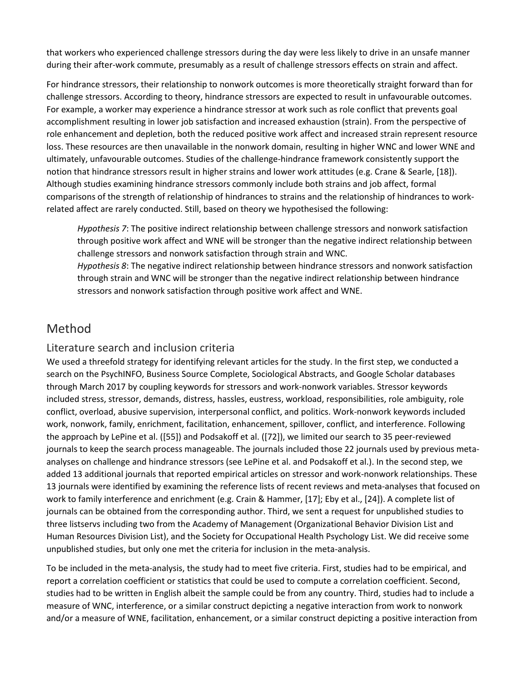that workers who experienced challenge stressors during the day were less likely to drive in an unsafe manner during their after-work commute, presumably as a result of challenge stressors effects on strain and affect.

For hindrance stressors, their relationship to nonwork outcomes is more theoretically straight forward than for challenge stressors. According to theory, hindrance stressors are expected to result in unfavourable outcomes. For example, a worker may experience a hindrance stressor at work such as role conflict that prevents goal accomplishment resulting in lower job satisfaction and increased exhaustion (strain). From the perspective of role enhancement and depletion, both the reduced positive work affect and increased strain represent resource loss. These resources are then unavailable in the nonwork domain, resulting in higher WNC and lower WNE and ultimately, unfavourable outcomes. Studies of the challenge-hindrance framework consistently support the notion that hindrance stressors result in higher strains and lower work attitudes (e.g. Crane & Searle, [18]). Although studies examining hindrance stressors commonly include both strains and job affect, formal comparisons of the strength of relationship of hindrances to strains and the relationship of hindrances to workrelated affect are rarely conducted. Still, based on theory we hypothesised the following:

*Hypothesis 7*: The positive indirect relationship between challenge stressors and nonwork satisfaction through positive work affect and WNE will be stronger than the negative indirect relationship between challenge stressors and nonwork satisfaction through strain and WNC. *Hypothesis 8*: The negative indirect relationship between hindrance stressors and nonwork satisfaction through strain and WNC will be stronger than the negative indirect relationship between hindrance

stressors and nonwork satisfaction through positive work affect and WNE.

# Method

#### Literature search and inclusion criteria

We used a threefold strategy for identifying relevant articles for the study. In the first step, we conducted a search on the PsychINFO, Business Source Complete, Sociological Abstracts, and Google Scholar databases through March 2017 by coupling keywords for stressors and work-nonwork variables. Stressor keywords included stress, stressor, demands, distress, hassles, eustress, workload, responsibilities, role ambiguity, role conflict, overload, abusive supervision, interpersonal conflict, and politics. Work-nonwork keywords included work, nonwork, family, enrichment, facilitation, enhancement, spillover, conflict, and interference. Following the approach by LePine et al. ([55]) and Podsakoff et al. ([72]), we limited our search to 35 peer-reviewed journals to keep the search process manageable. The journals included those 22 journals used by previous metaanalyses on challenge and hindrance stressors (see LePine et al. and Podsakoff et al.). In the second step, we added 13 additional journals that reported empirical articles on stressor and work-nonwork relationships. These 13 journals were identified by examining the reference lists of recent reviews and meta-analyses that focused on work to family interference and enrichment (e.g. Crain & Hammer, [17]; Eby et al., [24]). A complete list of journals can be obtained from the corresponding author. Third, we sent a request for unpublished studies to three listservs including two from the Academy of Management (Organizational Behavior Division List and Human Resources Division List), and the Society for Occupational Health Psychology List. We did receive some unpublished studies, but only one met the criteria for inclusion in the meta-analysis.

To be included in the meta-analysis, the study had to meet five criteria. First, studies had to be empirical, and report a correlation coefficient or statistics that could be used to compute a correlation coefficient. Second, studies had to be written in English albeit the sample could be from any country. Third, studies had to include a measure of WNC, interference, or a similar construct depicting a negative interaction from work to nonwork and/or a measure of WNE, facilitation, enhancement, or a similar construct depicting a positive interaction from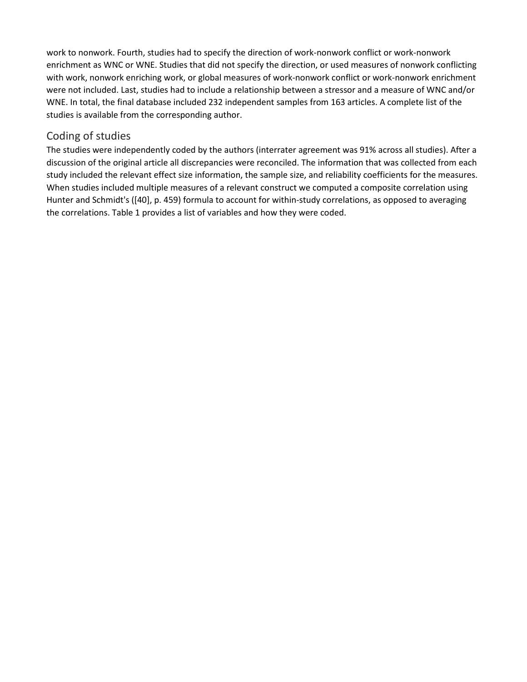work to nonwork. Fourth, studies had to specify the direction of work-nonwork conflict or work-nonwork enrichment as WNC or WNE. Studies that did not specify the direction, or used measures of nonwork conflicting with work, nonwork enriching work, or global measures of work-nonwork conflict or work-nonwork enrichment were not included. Last, studies had to include a relationship between a stressor and a measure of WNC and/or WNE. In total, the final database included 232 independent samples from 163 articles. A complete list of the studies is available from the corresponding author.

#### Coding of studies

The studies were independently coded by the authors (interrater agreement was 91% across all studies). After a discussion of the original article all discrepancies were reconciled. The information that was collected from each study included the relevant effect size information, the sample size, and reliability coefficients for the measures. When studies included multiple measures of a relevant construct we computed a composite correlation using Hunter and Schmidt's ([40], p. 459) formula to account for within-study correlations, as opposed to averaging the correlations. Table 1 provides a list of variables and how they were coded.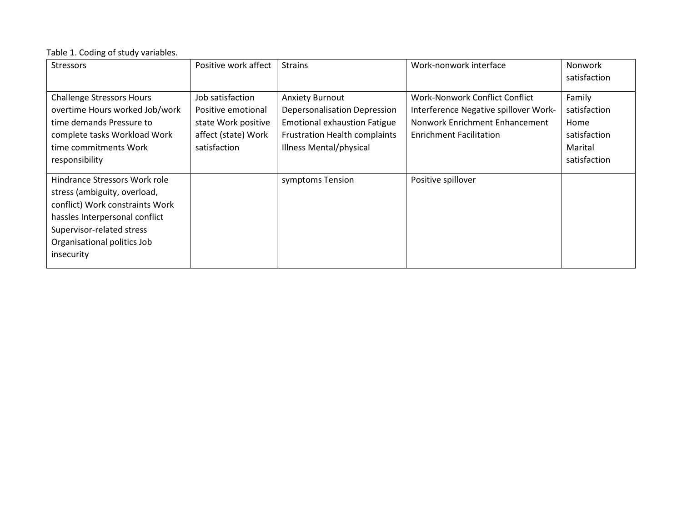#### Table 1. Coding of study variables.

| <b>Stressors</b>                                                                                                                                                                                             | Positive work affect                                                                                 | <b>Strains</b>                                                                                                                                                   | Work-nonwork interface                                                                                                                      | <b>Nonwork</b><br>satisfaction                                            |
|--------------------------------------------------------------------------------------------------------------------------------------------------------------------------------------------------------------|------------------------------------------------------------------------------------------------------|------------------------------------------------------------------------------------------------------------------------------------------------------------------|---------------------------------------------------------------------------------------------------------------------------------------------|---------------------------------------------------------------------------|
| <b>Challenge Stressors Hours</b><br>overtime Hours worked Job/work<br>time demands Pressure to<br>complete tasks Workload Work<br>time commitments Work<br>responsibility                                    | Job satisfaction<br>Positive emotional<br>state Work positive<br>affect (state) Work<br>satisfaction | <b>Anxiety Burnout</b><br>Depersonalisation Depression<br><b>Emotional exhaustion Fatigue</b><br><b>Frustration Health complaints</b><br>Illness Mental/physical | Work-Nonwork Conflict Conflict<br>Interference Negative spillover Work-<br>Nonwork Enrichment Enhancement<br><b>Enrichment Facilitation</b> | Family<br>satisfaction<br>Home<br>satisfaction<br>Marital<br>satisfaction |
| Hindrance Stressors Work role<br>stress (ambiguity, overload,<br>conflict) Work constraints Work<br>hassles Interpersonal conflict<br>Supervisor-related stress<br>Organisational politics Job<br>insecurity |                                                                                                      | symptoms Tension                                                                                                                                                 | Positive spillover                                                                                                                          |                                                                           |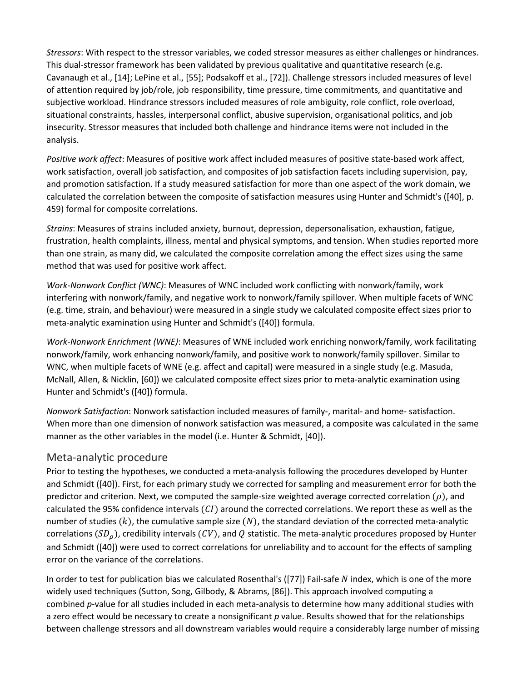*Stressors*: With respect to the stressor variables, we coded stressor measures as either challenges or hindrances. This dual-stressor framework has been validated by previous qualitative and quantitative research (e.g. Cavanaugh et al., [14]; LePine et al., [55]; Podsakoff et al., [72]). Challenge stressors included measures of level of attention required by job/role, job responsibility, time pressure, time commitments, and quantitative and subjective workload. Hindrance stressors included measures of role ambiguity, role conflict, role overload, situational constraints, hassles, interpersonal conflict, abusive supervision, organisational politics, and job insecurity. Stressor measures that included both challenge and hindrance items were not included in the analysis.

*Positive work affect*: Measures of positive work affect included measures of positive state-based work affect, work satisfaction, overall job satisfaction, and composites of job satisfaction facets including supervision, pay, and promotion satisfaction. If a study measured satisfaction for more than one aspect of the work domain, we calculated the correlation between the composite of satisfaction measures using Hunter and Schmidt's ([40], p. 459) formal for composite correlations.

*Strains*: Measures of strains included anxiety, burnout, depression, depersonalisation, exhaustion, fatigue, frustration, health complaints, illness, mental and physical symptoms, and tension. When studies reported more than one strain, as many did, we calculated the composite correlation among the effect sizes using the same method that was used for positive work affect.

*Work-Nonwork Conflict (WNC)*: Measures of WNC included work conflicting with nonwork/family, work interfering with nonwork/family, and negative work to nonwork/family spillover. When multiple facets of WNC (e.g. time, strain, and behaviour) were measured in a single study we calculated composite effect sizes prior to meta-analytic examination using Hunter and Schmidt's ([40]) formula.

*Work-Nonwork Enrichment (WNE)*: Measures of WNE included work enriching nonwork/family, work facilitating nonwork/family, work enhancing nonwork/family, and positive work to nonwork/family spillover. Similar to WNC, when multiple facets of WNE (e.g. affect and capital) were measured in a single study (e.g. Masuda, McNall, Allen, & Nicklin, [60]) we calculated composite effect sizes prior to meta-analytic examination using Hunter and Schmidt's ([40]) formula.

*Nonwork Satisfaction*: Nonwork satisfaction included measures of family-, marital- and home- satisfaction. When more than one dimension of nonwork satisfaction was measured, a composite was calculated in the same manner as the other variables in the model (i.e. Hunter & Schmidt, [40]).

#### Meta-analytic procedure

Prior to testing the hypotheses, we conducted a meta-analysis following the procedures developed by Hunter and Schmidt ([40]). First, for each primary study we corrected for sampling and measurement error for both the predictor and criterion. Next, we computed the sample-size weighted average corrected correlation ( $\rho$ ), and calculated the 95% confidence intervals  $(CI)$  around the corrected correlations. We report these as well as the number of studies  $(k)$ , the cumulative sample size  $(N)$ , the standard deviation of the corrected meta-analytic correlations ( $SD<sub>0</sub>$ ), credibility intervals (CV), and Q statistic. The meta-analytic procedures proposed by Hunter and Schmidt ([40]) were used to correct correlations for unreliability and to account for the effects of sampling error on the variance of the correlations.

In order to test for publication bias we calculated Rosenthal's ([77]) Fail-safe  $N$  index, which is one of the more widely used techniques (Sutton, Song, Gilbody, & Abrams, [86]). This approach involved computing a combined *p*-value for all studies included in each meta-analysis to determine how many additional studies with a zero effect would be necessary to create a nonsignificant *p* value. Results showed that for the relationships between challenge stressors and all downstream variables would require a considerably large number of missing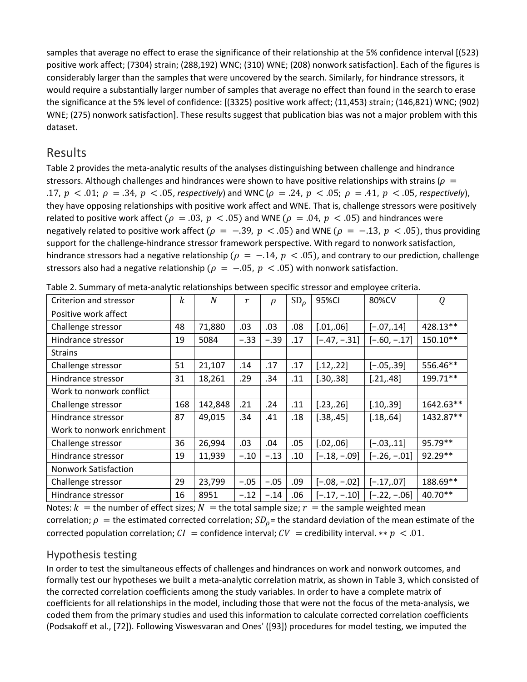samples that average no effect to erase the significance of their relationship at the 5% confidence interval [(523) positive work affect; (7304) strain; (288,192) WNC; (310) WNE; (208) nonwork satisfaction]. Each of the figures is considerably larger than the samples that were uncovered by the search. Similarly, for hindrance stressors, it would require a substantially larger number of samples that average no effect than found in the search to erase the significance at the 5% level of confidence: [(3325) positive work affect; (11,453) strain; (146,821) WNC; (902) WNE; (275) nonwork satisfaction]. These results suggest that publication bias was not a major problem with this dataset.

#### Results

Table 2 provides the meta-analytic results of the analyses distinguishing between challenge and hindrance stressors. Although challenges and hindrances were shown to have positive relationships with strains ( $\rho =$ .17,  $p < .01$ ;  $\rho = .34$ ,  $p < .05$ , respectively) and WNC ( $\rho = .24$ ,  $p < .05$ ;  $\rho = .41$ ,  $p < .05$ , respectively), they have opposing relationships with positive work affect and WNE. That is, challenge stressors were positively related to positive work affect ( $\rho = .03$ ,  $p < .05$ ) and WNE ( $\rho = .04$ ,  $p < .05$ ) and hindrances were negatively related to positive work affect ( $\rho = -.39$ ,  $p < .05$ ) and WNE ( $\rho = -.13$ ,  $p < .05$ ), thus providing support for the challenge-hindrance stressor framework perspective. With regard to nonwork satisfaction, hindrance stressors had a negative relationship ( $\rho = -.14$ ,  $p < .05$ ), and contrary to our prediction, challenge stressors also had a negative relationship ( $\rho = -.05$ ,  $p < .05$ ) with nonwork satisfaction.

| Criterion and stressor      | k   | N       | $\boldsymbol{r}$ | $\rho$ | $SD_{\rho}$ | 95%CI          | 80%CV          | Q         |
|-----------------------------|-----|---------|------------------|--------|-------------|----------------|----------------|-----------|
| Positive work affect        |     |         |                  |        |             |                |                |           |
| Challenge stressor          | 48  | 71,880  | .03              | .03    | .08         | [.01, .06]     | $[-.07, .14]$  | 428.13**  |
| Hindrance stressor          | 19  | 5084    | $-.33$           | $-.39$ | .17         | $[-.47, -.31]$ | $[-.60, -.17]$ | 150.10**  |
| <b>Strains</b>              |     |         |                  |        |             |                |                |           |
| Challenge stressor          | 51  | 21,107  | .14              | .17    | .17         | [.12, .22]     | $[-.05, .39]$  | 556.46**  |
| Hindrance stressor          | 31  | 18,261  | .29              | .34    | .11         | [.30, .38]     | [.21, .48]     | 199.71**  |
| Work to nonwork conflict    |     |         |                  |        |             |                |                |           |
| Challenge stressor          | 168 | 142,848 | .21              | .24    | .11         | [.23, .26]     | [.10, .39]     | 1642.63** |
| Hindrance stressor          | 87  | 49,015  | .34              | .41    | .18         | [.38, .45]     | [.18, .64]     | 1432.87** |
| Work to nonwork enrichment  |     |         |                  |        |             |                |                |           |
| Challenge stressor          | 36  | 26,994  | .03              | .04    | .05         | [.02, .06]     | $[-.03, .11]$  | 95.79**   |
| Hindrance stressor          | 19  | 11,939  | $-.10$           | $-.13$ | .10         | $[-.18, -.09]$ | $[-.26, -.01]$ | 92.29**   |
| <b>Nonwork Satisfaction</b> |     |         |                  |        |             |                |                |           |
| Challenge stressor          | 29  | 23,799  | $-.05$           | $-.05$ | .09         | $[-.08, -.02]$ | $[-.17, .07]$  | 188.69**  |
| Hindrance stressor          | 16  | 8951    | $-.12$           | $-.14$ | .06         | $[-.17, -.10]$ | $[-.22, -.06]$ | 40.70**   |

Table 2. Summary of meta-analytic relationships between specific stressor and employee criteria.

Notes:  $k =$  the number of effect sizes;  $N =$  the total sample size;  $r =$  the sample weighted mean correlation;  $\rho =$  the estimated corrected correlation;  $SD_\rho$ = the standard deviation of the mean estimate of the corrected population correlation;  $CI =$  confidence interval;  $CV =$  credibility interval. \*\*  $p < .01$ .

#### Hypothesis testing

In order to test the simultaneous effects of challenges and hindrances on work and nonwork outcomes, and formally test our hypotheses we built a meta-analytic correlation matrix, as shown in Table 3, which consisted of the corrected correlation coefficients among the study variables. In order to have a complete matrix of coefficients for all relationships in the model, including those that were not the focus of the meta-analysis, we coded them from the primary studies and used this information to calculate corrected correlation coefficients (Podsakoff et al., [72]). Following Viswesvaran and Ones' ([93]) procedures for model testing, we imputed the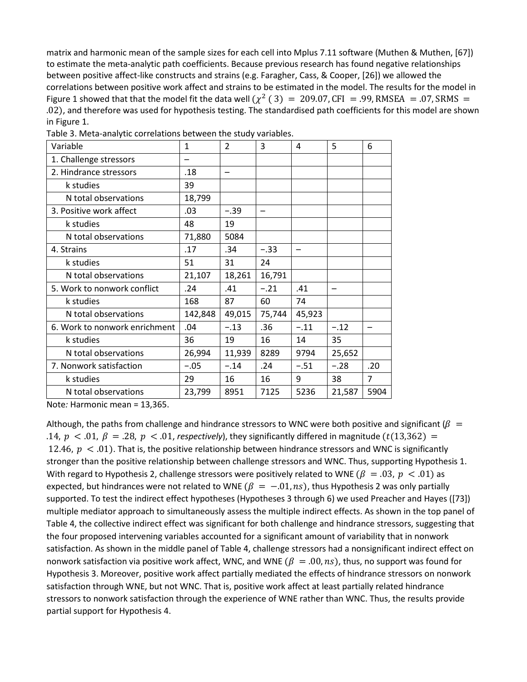matrix and harmonic mean of the sample sizes for each cell into Mplus 7.11 software (Muthen & Muthen, [67]) to estimate the meta-analytic path coefficients. Because previous research has found negative relationships between positive affect-like constructs and strains (e.g. Faragher, Cass, & Cooper, [26]) we allowed the correlations between positive work affect and strains to be estimated in the model. The results for the model in Figure 1 showed that that the model fit the data well  $(\chi^2$  (3) = 209.07, CFI = .99, RMSEA = .07, SRMS = .02), and therefore was used for hypothesis testing. The standardised path coefficients for this model are shown in Figure 1.

| Variable                      | $\mathbf{1}$ | $\mathcal{P}$ | 3      | 4      | 5      | 6              |  |
|-------------------------------|--------------|---------------|--------|--------|--------|----------------|--|
| 1. Challenge stressors        |              |               |        |        |        |                |  |
| 2. Hindrance stressors        | .18          |               |        |        |        |                |  |
| k studies                     | 39           |               |        |        |        |                |  |
| N total observations          | 18,799       |               |        |        |        |                |  |
| 3. Positive work affect       | .03          | $-.39$        |        |        |        |                |  |
| k studies                     | 48           | 19            |        |        |        |                |  |
| N total observations          | 71,880       | 5084          |        |        |        |                |  |
| 4. Strains                    | .17          | .34           | $-.33$ |        |        |                |  |
| k studies                     | 51           | 31            | 24     |        |        |                |  |
| N total observations          | 21,107       | 18,261        | 16,791 |        |        |                |  |
| 5. Work to nonwork conflict   | .24          | .41           | $-.21$ | .41    |        |                |  |
| k studies                     | 168          | 87            | 60     | 74     |        |                |  |
| N total observations          | 142,848      | 49,015        | 75,744 | 45,923 |        |                |  |
| 6. Work to nonwork enrichment | .04          | $-.13$        | .36    | $-.11$ | $-.12$ |                |  |
| k studies                     | 36           | 19            | 16     | 14     | 35     |                |  |
| N total observations          | 26,994       | 11,939        | 8289   | 9794   | 25,652 |                |  |
| 7. Nonwork satisfaction       | $-.05$       | $-.14$        | .24    | $-.51$ | $-.28$ | .20            |  |
| k studies                     | 29           | 16            | 16     | 9      | 38     | $\overline{7}$ |  |
| N total observations          | 23,799       | 8951          | 7125   | 5236   | 21,587 | 5904           |  |
|                               |              |               |        |        |        |                |  |

Table 3. Meta-analytic correlations between the study variables.

Note*:* Harmonic mean = 13,365.

Although, the paths from challenge and hindrance stressors to WNC were both positive and significant ( $\beta$  = .14,  $p < 0.01$ ,  $\beta = 0.28$ ,  $p < 0.01$ , respectively), they significantly differed in magnitude (t(13,362) = 12.46,  $p < .01$ ). That is, the positive relationship between hindrance stressors and WNC is significantly stronger than the positive relationship between challenge stressors and WNC. Thus, supporting Hypothesis 1. With regard to Hypothesis 2, challenge stressors were positively related to WNE ( $\beta = .03$ ,  $p < .01$ ) as expected, but hindrances were not related to WNE ( $\beta = -0.01$ , ns), thus Hypothesis 2 was only partially supported. To test the indirect effect hypotheses (Hypotheses 3 through 6) we used Preacher and Hayes ([73]) multiple mediator approach to simultaneously assess the multiple indirect effects. As shown in the top panel of Table 4, the collective indirect effect was significant for both challenge and hindrance stressors, suggesting that the four proposed intervening variables accounted for a significant amount of variability that in nonwork satisfaction. As shown in the middle panel of Table 4, challenge stressors had a nonsignificant indirect effect on nonwork satisfaction via positive work affect, WNC, and WNE  $(\beta = .00, ns)$ , thus, no support was found for Hypothesis 3. Moreover, positive work affect partially mediated the effects of hindrance stressors on nonwork satisfaction through WNE, but not WNC. That is, positive work affect at least partially related hindrance stressors to nonwork satisfaction through the experience of WNE rather than WNC. Thus, the results provide partial support for Hypothesis 4.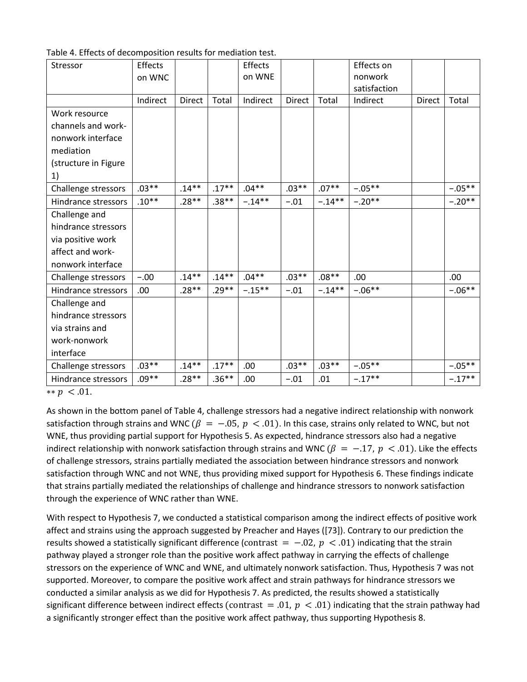| Stressor             | <b>Effects</b> |         |          | Effects   |               |           | Effects on   |        |           |
|----------------------|----------------|---------|----------|-----------|---------------|-----------|--------------|--------|-----------|
|                      | on WNC         |         |          | on WNE    |               |           | nonwork      |        |           |
|                      |                |         |          |           |               |           | satisfaction |        |           |
|                      | Indirect       | Direct  | Total    | Indirect  | <b>Direct</b> | Total     | Indirect     | Direct | Total     |
| Work resource        |                |         |          |           |               |           |              |        |           |
| channels and work-   |                |         |          |           |               |           |              |        |           |
| nonwork interface    |                |         |          |           |               |           |              |        |           |
| mediation            |                |         |          |           |               |           |              |        |           |
| (structure in Figure |                |         |          |           |               |           |              |        |           |
| 1)                   |                |         |          |           |               |           |              |        |           |
| Challenge stressors  | $.03**$        | $.14**$ | $.17***$ | $.04**$   | $.03**$       | $.07**$   | $-.05**$     |        | $-.05***$ |
| Hindrance stressors  | $.10**$        | $.28**$ | $.38**$  | $-.14***$ | $-.01$        | $-.14***$ | $-.20**$     |        | $-.20**$  |
| Challenge and        |                |         |          |           |               |           |              |        |           |
| hindrance stressors  |                |         |          |           |               |           |              |        |           |
| via positive work    |                |         |          |           |               |           |              |        |           |
| affect and work-     |                |         |          |           |               |           |              |        |           |
| nonwork interface    |                |         |          |           |               |           |              |        |           |
| Challenge stressors  | $-.00$         | $.14**$ | $.14***$ | $.04**$   | $.03**$       | $.08**$   | .00          |        | .00       |
| Hindrance stressors  | .00            | $.28**$ | $.29**$  | $-.15***$ | $-.01$        | $-.14**$  | $-.06**$     |        | $-.06***$ |
| Challenge and        |                |         |          |           |               |           |              |        |           |
| hindrance stressors  |                |         |          |           |               |           |              |        |           |
| via strains and      |                |         |          |           |               |           |              |        |           |
| work-nonwork         |                |         |          |           |               |           |              |        |           |
| interface            |                |         |          |           |               |           |              |        |           |
| Challenge stressors  | $.03**$        | $.14**$ | $.17***$ | .00.      | $.03**$       | $.03**$   | $-.05**$     |        | $-.05**$  |
| Hindrance stressors  | $.09**$        | $.28**$ | $.36**$  | .00       | $-.01$        | .01       | $-.17**$     |        | $-.17**$  |
| ** $p < .01$ .       |                |         |          |           |               |           |              |        |           |

As shown in the bottom panel of Table 4, challenge stressors had a negative indirect relationship with nonwork satisfaction through strains and WNC ( $\beta = -.05$ ,  $p < .01$ ). In this case, strains only related to WNC, but not WNE, thus providing partial support for Hypothesis 5. As expected, hindrance stressors also had a negative indirect relationship with nonwork satisfaction through strains and WNC ( $\beta = -.17$ ,  $p < .01$ ). Like the effects of challenge stressors, strains partially mediated the association between hindrance stressors and nonwork satisfaction through WNC and not WNE, thus providing mixed support for Hypothesis 6. These findings indicate that strains partially mediated the relationships of challenge and hindrance stressors to nonwork satisfaction through the experience of WNC rather than WNE.

With respect to Hypothesis 7, we conducted a statistical comparison among the indirect effects of positive work affect and strains using the approach suggested by Preacher and Hayes ([73]). Contrary to our prediction the results showed a statistically significant difference (contrast =  $-0.02$ ,  $p < 0.01$ ) indicating that the strain pathway played a stronger role than the positive work affect pathway in carrying the effects of challenge stressors on the experience of WNC and WNE, and ultimately nonwork satisfaction. Thus, Hypothesis 7 was not supported. Moreover, to compare the positive work affect and strain pathways for hindrance stressors we conducted a similar analysis as we did for Hypothesis 7. As predicted, the results showed a statistically significant difference between indirect effects (contrast = .01,  $p$  < .01) indicating that the strain pathway had a significantly stronger effect than the positive work affect pathway, thus supporting Hypothesis 8.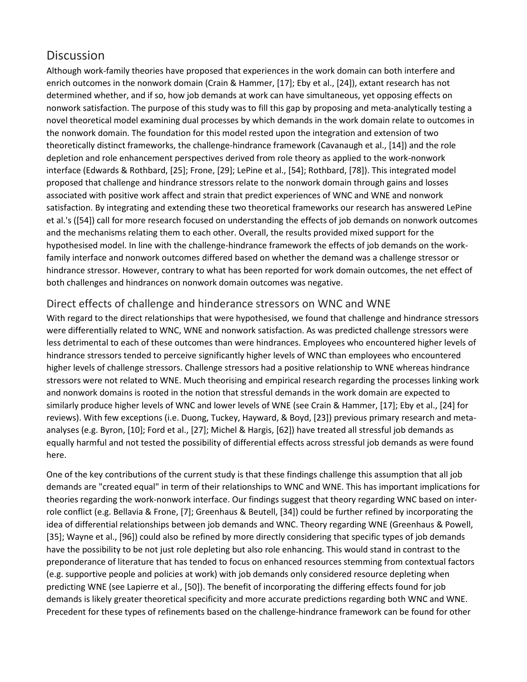## **Discussion**

Although work-family theories have proposed that experiences in the work domain can both interfere and enrich outcomes in the nonwork domain (Crain & Hammer, [17]; Eby et al., [24]), extant research has not determined whether, and if so, how job demands at work can have simultaneous, yet opposing effects on nonwork satisfaction. The purpose of this study was to fill this gap by proposing and meta-analytically testing a novel theoretical model examining dual processes by which demands in the work domain relate to outcomes in the nonwork domain. The foundation for this model rested upon the integration and extension of two theoretically distinct frameworks, the challenge-hindrance framework (Cavanaugh et al., [14]) and the role depletion and role enhancement perspectives derived from role theory as applied to the work-nonwork interface (Edwards & Rothbard, [25]; Frone, [29]; LePine et al., [54]; Rothbard, [78]). This integrated model proposed that challenge and hindrance stressors relate to the nonwork domain through gains and losses associated with positive work affect and strain that predict experiences of WNC and WNE and nonwork satisfaction. By integrating and extending these two theoretical frameworks our research has answered LePine et al.'s ([54]) call for more research focused on understanding the effects of job demands on nonwork outcomes and the mechanisms relating them to each other. Overall, the results provided mixed support for the hypothesised model. In line with the challenge-hindrance framework the effects of job demands on the workfamily interface and nonwork outcomes differed based on whether the demand was a challenge stressor or hindrance stressor. However, contrary to what has been reported for work domain outcomes, the net effect of both challenges and hindrances on nonwork domain outcomes was negative.

#### Direct effects of challenge and hinderance stressors on WNC and WNE

With regard to the direct relationships that were hypothesised, we found that challenge and hindrance stressors were differentially related to WNC, WNE and nonwork satisfaction. As was predicted challenge stressors were less detrimental to each of these outcomes than were hindrances. Employees who encountered higher levels of hindrance stressors tended to perceive significantly higher levels of WNC than employees who encountered higher levels of challenge stressors. Challenge stressors had a positive relationship to WNE whereas hindrance stressors were not related to WNE. Much theorising and empirical research regarding the processes linking work and nonwork domains is rooted in the notion that stressful demands in the work domain are expected to similarly produce higher levels of WNC and lower levels of WNE (see Crain & Hammer, [17]; Eby et al., [24] for reviews). With few exceptions (i.e. Duong, Tuckey, Hayward, & Boyd, [23]) previous primary research and metaanalyses (e.g. Byron, [10]; Ford et al., [27]; Michel & Hargis, [62]) have treated all stressful job demands as equally harmful and not tested the possibility of differential effects across stressful job demands as were found here.

One of the key contributions of the current study is that these findings challenge this assumption that all job demands are "created equal" in term of their relationships to WNC and WNE. This has important implications for theories regarding the work-nonwork interface. Our findings suggest that theory regarding WNC based on interrole conflict (e.g. Bellavia & Frone, [7]; Greenhaus & Beutell, [34]) could be further refined by incorporating the idea of differential relationships between job demands and WNC. Theory regarding WNE (Greenhaus & Powell, [35]; Wayne et al., [96]) could also be refined by more directly considering that specific types of job demands have the possibility to be not just role depleting but also role enhancing. This would stand in contrast to the preponderance of literature that has tended to focus on enhanced resources stemming from contextual factors (e.g. supportive people and policies at work) with job demands only considered resource depleting when predicting WNE (see Lapierre et al., [50]). The benefit of incorporating the differing effects found for job demands is likely greater theoretical specificity and more accurate predictions regarding both WNC and WNE. Precedent for these types of refinements based on the challenge-hindrance framework can be found for other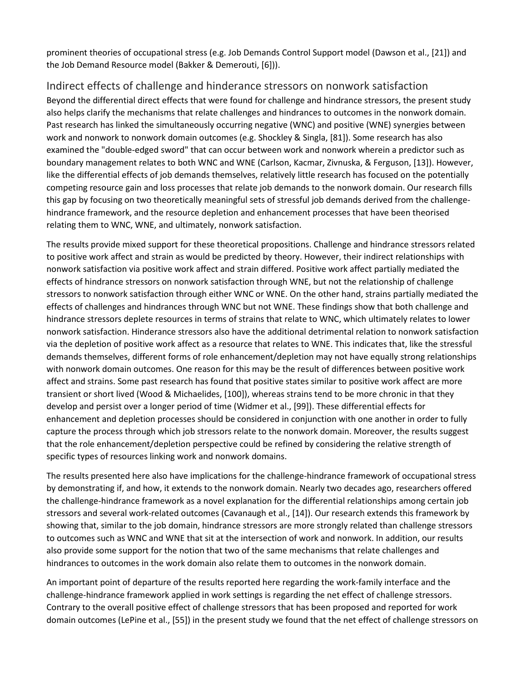prominent theories of occupational stress (e.g. Job Demands Control Support model (Dawson et al., [21]) and the Job Demand Resource model (Bakker & Demerouti, [6])).

#### Indirect effects of challenge and hinderance stressors on nonwork satisfaction

Beyond the differential direct effects that were found for challenge and hindrance stressors, the present study also helps clarify the mechanisms that relate challenges and hindrances to outcomes in the nonwork domain. Past research has linked the simultaneously occurring negative (WNC) and positive (WNE) synergies between work and nonwork to nonwork domain outcomes (e.g. Shockley & Singla, [81]). Some research has also examined the "double-edged sword" that can occur between work and nonwork wherein a predictor such as boundary management relates to both WNC and WNE (Carlson, Kacmar, Zivnuska, & Ferguson, [13]). However, like the differential effects of job demands themselves, relatively little research has focused on the potentially competing resource gain and loss processes that relate job demands to the nonwork domain. Our research fills this gap by focusing on two theoretically meaningful sets of stressful job demands derived from the challengehindrance framework, and the resource depletion and enhancement processes that have been theorised relating them to WNC, WNE, and ultimately, nonwork satisfaction.

The results provide mixed support for these theoretical propositions. Challenge and hindrance stressors related to positive work affect and strain as would be predicted by theory. However, their indirect relationships with nonwork satisfaction via positive work affect and strain differed. Positive work affect partially mediated the effects of hindrance stressors on nonwork satisfaction through WNE, but not the relationship of challenge stressors to nonwork satisfaction through either WNC or WNE. On the other hand, strains partially mediated the effects of challenges and hindrances through WNC but not WNE. These findings show that both challenge and hindrance stressors deplete resources in terms of strains that relate to WNC, which ultimately relates to lower nonwork satisfaction. Hinderance stressors also have the additional detrimental relation to nonwork satisfaction via the depletion of positive work affect as a resource that relates to WNE. This indicates that, like the stressful demands themselves, different forms of role enhancement/depletion may not have equally strong relationships with nonwork domain outcomes. One reason for this may be the result of differences between positive work affect and strains. Some past research has found that positive states similar to positive work affect are more transient or short lived (Wood & Michaelides, [100]), whereas strains tend to be more chronic in that they develop and persist over a longer period of time (Widmer et al., [99]). These differential effects for enhancement and depletion processes should be considered in conjunction with one another in order to fully capture the process through which job stressors relate to the nonwork domain. Moreover, the results suggest that the role enhancement/depletion perspective could be refined by considering the relative strength of specific types of resources linking work and nonwork domains.

The results presented here also have implications for the challenge-hindrance framework of occupational stress by demonstrating if, and how, it extends to the nonwork domain. Nearly two decades ago, researchers offered the challenge-hindrance framework as a novel explanation for the differential relationships among certain job stressors and several work-related outcomes (Cavanaugh et al., [14]). Our research extends this framework by showing that, similar to the job domain, hindrance stressors are more strongly related than challenge stressors to outcomes such as WNC and WNE that sit at the intersection of work and nonwork. In addition, our results also provide some support for the notion that two of the same mechanisms that relate challenges and hindrances to outcomes in the work domain also relate them to outcomes in the nonwork domain.

An important point of departure of the results reported here regarding the work-family interface and the challenge-hindrance framework applied in work settings is regarding the net effect of challenge stressors. Contrary to the overall positive effect of challenge stressors that has been proposed and reported for work domain outcomes (LePine et al., [55]) in the present study we found that the net effect of challenge stressors on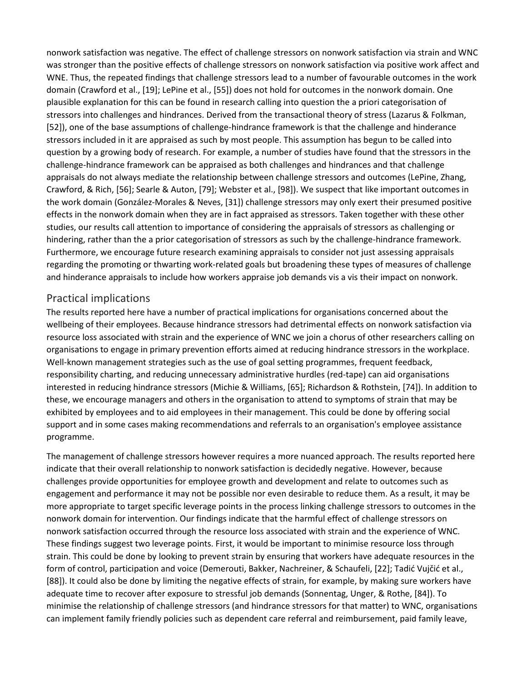nonwork satisfaction was negative. The effect of challenge stressors on nonwork satisfaction via strain and WNC was stronger than the positive effects of challenge stressors on nonwork satisfaction via positive work affect and WNE. Thus, the repeated findings that challenge stressors lead to a number of favourable outcomes in the work domain (Crawford et al., [19]; LePine et al., [55]) does not hold for outcomes in the nonwork domain. One plausible explanation for this can be found in research calling into question the a priori categorisation of stressors into challenges and hindrances. Derived from the transactional theory of stress (Lazarus & Folkman, [52]), one of the base assumptions of challenge-hindrance framework is that the challenge and hinderance stressors included in it are appraised as such by most people. This assumption has begun to be called into question by a growing body of research. For example, a number of studies have found that the stressors in the challenge-hindrance framework can be appraised as both challenges and hindrances and that challenge appraisals do not always mediate the relationship between challenge stressors and outcomes (LePine, Zhang, Crawford, & Rich, [56]; Searle & Auton, [79]; Webster et al., [98]). We suspect that like important outcomes in the work domain (González-Morales & Neves, [31]) challenge stressors may only exert their presumed positive effects in the nonwork domain when they are in fact appraised as stressors. Taken together with these other studies, our results call attention to importance of considering the appraisals of stressors as challenging or hindering, rather than the a prior categorisation of stressors as such by the challenge-hindrance framework. Furthermore, we encourage future research examining appraisals to consider not just assessing appraisals regarding the promoting or thwarting work-related goals but broadening these types of measures of challenge and hinderance appraisals to include how workers appraise job demands vis a vis their impact on nonwork.

#### Practical implications

The results reported here have a number of practical implications for organisations concerned about the wellbeing of their employees. Because hindrance stressors had detrimental effects on nonwork satisfaction via resource loss associated with strain and the experience of WNC we join a chorus of other researchers calling on organisations to engage in primary prevention efforts aimed at reducing hindrance stressors in the workplace. Well-known management strategies such as the use of goal setting programmes, frequent feedback, responsibility charting, and reducing unnecessary administrative hurdles (red-tape) can aid organisations interested in reducing hindrance stressors (Michie & Williams, [65]; Richardson & Rothstein, [74]). In addition to these, we encourage managers and others in the organisation to attend to symptoms of strain that may be exhibited by employees and to aid employees in their management. This could be done by offering social support and in some cases making recommendations and referrals to an organisation's employee assistance programme.

The management of challenge stressors however requires a more nuanced approach. The results reported here indicate that their overall relationship to nonwork satisfaction is decidedly negative. However, because challenges provide opportunities for employee growth and development and relate to outcomes such as engagement and performance it may not be possible nor even desirable to reduce them. As a result, it may be more appropriate to target specific leverage points in the process linking challenge stressors to outcomes in the nonwork domain for intervention. Our findings indicate that the harmful effect of challenge stressors on nonwork satisfaction occurred through the resource loss associated with strain and the experience of WNC. These findings suggest two leverage points. First, it would be important to minimise resource loss through strain. This could be done by looking to prevent strain by ensuring that workers have adequate resources in the form of control, participation and voice (Demerouti, Bakker, Nachreiner, & Schaufeli, [22]; Tadić Vujčić et al., [88]). It could also be done by limiting the negative effects of strain, for example, by making sure workers have adequate time to recover after exposure to stressful job demands (Sonnentag, Unger, & Rothe, [84]). To minimise the relationship of challenge stressors (and hindrance stressors for that matter) to WNC, organisations can implement family friendly policies such as dependent care referral and reimbursement, paid family leave,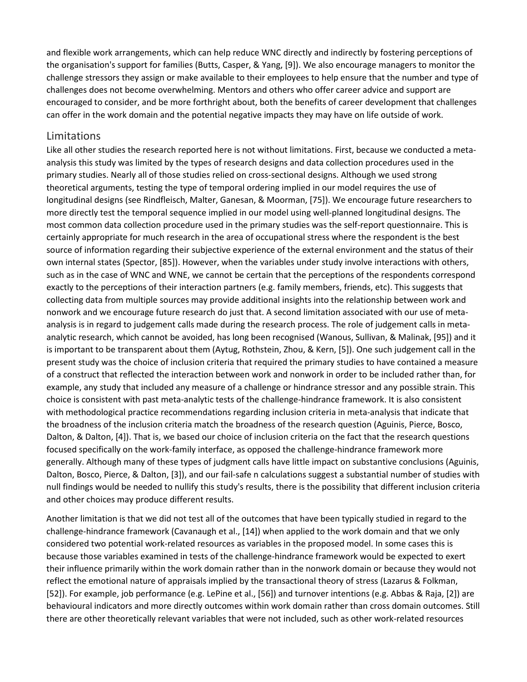and flexible work arrangements, which can help reduce WNC directly and indirectly by fostering perceptions of the organisation's support for families (Butts, Casper, & Yang, [9]). We also encourage managers to monitor the challenge stressors they assign or make available to their employees to help ensure that the number and type of challenges does not become overwhelming. Mentors and others who offer career advice and support are encouraged to consider, and be more forthright about, both the benefits of career development that challenges can offer in the work domain and the potential negative impacts they may have on life outside of work.

#### Limitations

Like all other studies the research reported here is not without limitations. First, because we conducted a metaanalysis this study was limited by the types of research designs and data collection procedures used in the primary studies. Nearly all of those studies relied on cross-sectional designs. Although we used strong theoretical arguments, testing the type of temporal ordering implied in our model requires the use of longitudinal designs (see Rindfleisch, Malter, Ganesan, & Moorman, [75]). We encourage future researchers to more directly test the temporal sequence implied in our model using well-planned longitudinal designs. The most common data collection procedure used in the primary studies was the self-report questionnaire. This is certainly appropriate for much research in the area of occupational stress where the respondent is the best source of information regarding their subjective experience of the external environment and the status of their own internal states (Spector, [85]). However, when the variables under study involve interactions with others, such as in the case of WNC and WNE, we cannot be certain that the perceptions of the respondents correspond exactly to the perceptions of their interaction partners (e.g. family members, friends, etc). This suggests that collecting data from multiple sources may provide additional insights into the relationship between work and nonwork and we encourage future research do just that. A second limitation associated with our use of metaanalysis is in regard to judgement calls made during the research process. The role of judgement calls in metaanalytic research, which cannot be avoided, has long been recognised (Wanous, Sullivan, & Malinak, [95]) and it is important to be transparent about them (Aytug, Rothstein, Zhou, & Kern, [5]). One such judgement call in the present study was the choice of inclusion criteria that required the primary studies to have contained a measure of a construct that reflected the interaction between work and nonwork in order to be included rather than, for example, any study that included any measure of a challenge or hindrance stressor and any possible strain. This choice is consistent with past meta-analytic tests of the challenge-hindrance framework. It is also consistent with methodological practice recommendations regarding inclusion criteria in meta-analysis that indicate that the broadness of the inclusion criteria match the broadness of the research question (Aguinis, Pierce, Bosco, Dalton, & Dalton, [4]). That is, we based our choice of inclusion criteria on the fact that the research questions focused specifically on the work-family interface, as opposed the challenge-hindrance framework more generally. Although many of these types of judgment calls have little impact on substantive conclusions (Aguinis, Dalton, Bosco, Pierce, & Dalton, [3]), and our fail-safe n calculations suggest a substantial number of studies with null findings would be needed to nullify this study's results, there is the possibility that different inclusion criteria and other choices may produce different results.

Another limitation is that we did not test all of the outcomes that have been typically studied in regard to the challenge-hindrance framework (Cavanaugh et al., [14]) when applied to the work domain and that we only considered two potential work-related resources as variables in the proposed model. In some cases this is because those variables examined in tests of the challenge-hindrance framework would be expected to exert their influence primarily within the work domain rather than in the nonwork domain or because they would not reflect the emotional nature of appraisals implied by the transactional theory of stress (Lazarus & Folkman, [52]). For example, job performance (e.g. LePine et al., [56]) and turnover intentions (e.g. Abbas & Raja, [2]) are behavioural indicators and more directly outcomes within work domain rather than cross domain outcomes. Still there are other theoretically relevant variables that were not included, such as other work-related resources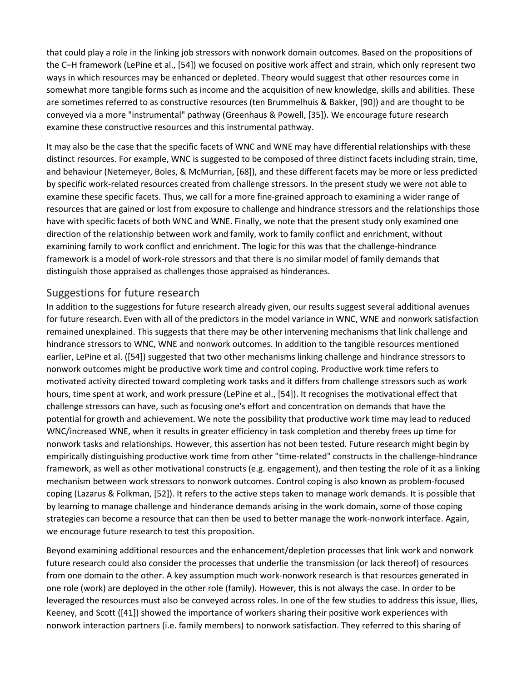that could play a role in the linking job stressors with nonwork domain outcomes. Based on the propositions of the C–H framework (LePine et al., [54]) we focused on positive work affect and strain, which only represent two ways in which resources may be enhanced or depleted. Theory would suggest that other resources come in somewhat more tangible forms such as income and the acquisition of new knowledge, skills and abilities. These are sometimes referred to as constructive resources (ten Brummelhuis & Bakker, [90]) and are thought to be conveyed via a more "instrumental" pathway (Greenhaus & Powell, [35]). We encourage future research examine these constructive resources and this instrumental pathway.

It may also be the case that the specific facets of WNC and WNE may have differential relationships with these distinct resources. For example, WNC is suggested to be composed of three distinct facets including strain, time, and behaviour (Netemeyer, Boles, & McMurrian, [68]), and these different facets may be more or less predicted by specific work-related resources created from challenge stressors. In the present study we were not able to examine these specific facets. Thus, we call for a more fine-grained approach to examining a wider range of resources that are gained or lost from exposure to challenge and hindrance stressors and the relationships those have with specific facets of both WNC and WNE. Finally, we note that the present study only examined one direction of the relationship between work and family, work to family conflict and enrichment, without examining family to work conflict and enrichment. The logic for this was that the challenge-hindrance framework is a model of work-role stressors and that there is no similar model of family demands that distinguish those appraised as challenges those appraised as hinderances.

#### Suggestions for future research

In addition to the suggestions for future research already given, our results suggest several additional avenues for future research. Even with all of the predictors in the model variance in WNC, WNE and nonwork satisfaction remained unexplained. This suggests that there may be other intervening mechanisms that link challenge and hindrance stressors to WNC, WNE and nonwork outcomes. In addition to the tangible resources mentioned earlier, LePine et al. ([54]) suggested that two other mechanisms linking challenge and hindrance stressors to nonwork outcomes might be productive work time and control coping. Productive work time refers to motivated activity directed toward completing work tasks and it differs from challenge stressors such as work hours, time spent at work, and work pressure (LePine et al., [54]). It recognises the motivational effect that challenge stressors can have, such as focusing one's effort and concentration on demands that have the potential for growth and achievement. We note the possibility that productive work time may lead to reduced WNC/increased WNE, when it results in greater efficiency in task completion and thereby frees up time for nonwork tasks and relationships. However, this assertion has not been tested. Future research might begin by empirically distinguishing productive work time from other "time-related" constructs in the challenge-hindrance framework, as well as other motivational constructs (e.g. engagement), and then testing the role of it as a linking mechanism between work stressors to nonwork outcomes. Control coping is also known as problem-focused coping (Lazarus & Folkman, [52]). It refers to the active steps taken to manage work demands. It is possible that by learning to manage challenge and hinderance demands arising in the work domain, some of those coping strategies can become a resource that can then be used to better manage the work-nonwork interface. Again, we encourage future research to test this proposition.

Beyond examining additional resources and the enhancement/depletion processes that link work and nonwork future research could also consider the processes that underlie the transmission (or lack thereof) of resources from one domain to the other. A key assumption much work-nonwork research is that resources generated in one role (work) are deployed in the other role (family). However, this is not always the case. In order to be leveraged the resources must also be conveyed across roles. In one of the few studies to address this issue, Ilies, Keeney, and Scott ([41]) showed the importance of workers sharing their positive work experiences with nonwork interaction partners (i.e. family members) to nonwork satisfaction. They referred to this sharing of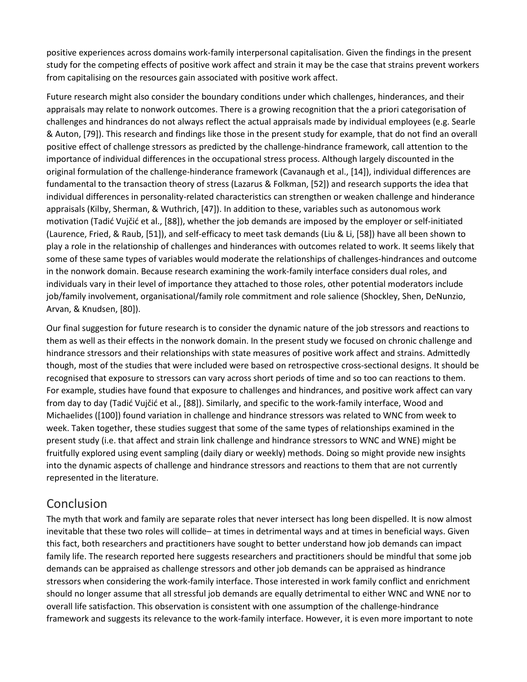positive experiences across domains work-family interpersonal capitalisation. Given the findings in the present study for the competing effects of positive work affect and strain it may be the case that strains prevent workers from capitalising on the resources gain associated with positive work affect.

Future research might also consider the boundary conditions under which challenges, hinderances, and their appraisals may relate to nonwork outcomes. There is a growing recognition that the a priori categorisation of challenges and hindrances do not always reflect the actual appraisals made by individual employees (e.g. Searle & Auton, [79]). This research and findings like those in the present study for example, that do not find an overall positive effect of challenge stressors as predicted by the challenge-hindrance framework, call attention to the importance of individual differences in the occupational stress process. Although largely discounted in the original formulation of the challenge-hinderance framework (Cavanaugh et al., [14]), individual differences are fundamental to the transaction theory of stress (Lazarus & Folkman, [52]) and research supports the idea that individual differences in personality-related characteristics can strengthen or weaken challenge and hinderance appraisals (Kilby, Sherman, & Wuthrich, [47]). In addition to these, variables such as autonomous work motivation (Tadić Vujčić et al., [88]), whether the job demands are imposed by the employer or self-initiated (Laurence, Fried, & Raub, [51]), and self-efficacy to meet task demands (Liu & Li, [58]) have all been shown to play a role in the relationship of challenges and hinderances with outcomes related to work. It seems likely that some of these same types of variables would moderate the relationships of challenges-hindrances and outcome in the nonwork domain. Because research examining the work-family interface considers dual roles, and individuals vary in their level of importance they attached to those roles, other potential moderators include job/family involvement, organisational/family role commitment and role salience (Shockley, Shen, DeNunzio, Arvan, & Knudsen, [80]).

Our final suggestion for future research is to consider the dynamic nature of the job stressors and reactions to them as well as their effects in the nonwork domain. In the present study we focused on chronic challenge and hindrance stressors and their relationships with state measures of positive work affect and strains. Admittedly though, most of the studies that were included were based on retrospective cross-sectional designs. It should be recognised that exposure to stressors can vary across short periods of time and so too can reactions to them. For example, studies have found that exposure to challenges and hindrances, and positive work affect can vary from day to day (Tadić Vujčić et al., [88]). Similarly, and specific to the work-family interface, Wood and Michaelides ([100]) found variation in challenge and hindrance stressors was related to WNC from week to week. Taken together, these studies suggest that some of the same types of relationships examined in the present study (i.e. that affect and strain link challenge and hindrance stressors to WNC and WNE) might be fruitfully explored using event sampling (daily diary or weekly) methods. Doing so might provide new insights into the dynamic aspects of challenge and hindrance stressors and reactions to them that are not currently represented in the literature.

# Conclusion

The myth that work and family are separate roles that never intersect has long been dispelled. It is now almost inevitable that these two roles will collide– at times in detrimental ways and at times in beneficial ways. Given this fact, both researchers and practitioners have sought to better understand how job demands can impact family life. The research reported here suggests researchers and practitioners should be mindful that some job demands can be appraised as challenge stressors and other job demands can be appraised as hindrance stressors when considering the work-family interface. Those interested in work family conflict and enrichment should no longer assume that all stressful job demands are equally detrimental to either WNC and WNE nor to overall life satisfaction. This observation is consistent with one assumption of the challenge-hindrance framework and suggests its relevance to the work-family interface. However, it is even more important to note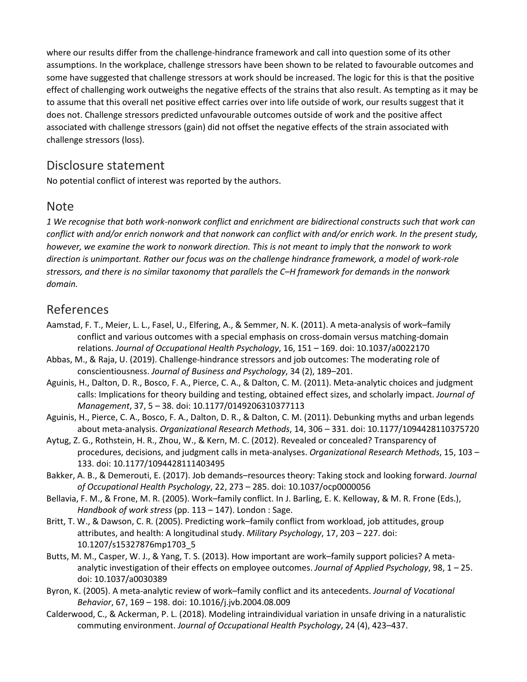where our results differ from the challenge-hindrance framework and call into question some of its other assumptions. In the workplace, challenge stressors have been shown to be related to favourable outcomes and some have suggested that challenge stressors at work should be increased. The logic for this is that the positive effect of challenging work outweighs the negative effects of the strains that also result. As tempting as it may be to assume that this overall net positive effect carries over into life outside of work, our results suggest that it does not. Challenge stressors predicted unfavourable outcomes outside of work and the positive affect associated with challenge stressors (gain) did not offset the negative effects of the strain associated with challenge stressors (loss).

## Disclosure statement

No potential conflict of interest was reported by the authors.

#### Note

*1 We recognise that both work-nonwork conflict and enrichment are bidirectional constructs such that work can conflict with and/or enrich nonwork and that nonwork can conflict with and/or enrich work. In the present study, however, we examine the work to nonwork direction. This is not meant to imply that the nonwork to work direction is unimportant. Rather our focus was on the challenge hindrance framework, a model of work-role stressors, and there is no similar taxonomy that parallels the C–H framework for demands in the nonwork domain.*

# [References](https://0-web-b-ebscohost-com.libus.csd.mu.edu/ehost/detail/detail?vid=0&sid=e0c1e93e-12b7-4f2f-a9cc-e930ee1acb7f%40sessionmgr103&bdata=JnNpdGU9ZWhvc3QtbGl2ZQ%3d%3d#toc)

- Aamstad, F. T., Meier, L. L., Fasel, U., Elfering, A., & Semmer, N. K. (2011). A meta-analysis of work–family conflict and various outcomes with a special emphasis on cross-domain versus matching-domain relations. *Journal of Occupational Health Psychology*, 16, 151 – 169. doi: 10.1037/a0022170
- Abbas, M., & Raja, U. (2019). Challenge-hindrance stressors and job outcomes: The moderating role of conscientiousness. *Journal of Business and Psychology*, 34 (2), 189–201.
- Aguinis, H., Dalton, D. R., Bosco, F. A., Pierce, C. A., & Dalton, C. M. (2011). Meta-analytic choices and judgment calls: Implications for theory building and testing, obtained effect sizes, and scholarly impact. *Journal of Management*, 37, 5 – 38. doi: 10.1177/0149206310377113
- Aguinis, H., Pierce, C. A., Bosco, F. A., Dalton, D. R., & Dalton, C. M. (2011). Debunking myths and urban legends about meta-analysis. *Organizational Research Methods*, 14, 306 – 331. doi: 10.1177/1094428110375720
- Aytug, Z. G., Rothstein, H. R., Zhou, W., & Kern, M. C. (2012). Revealed or concealed? Transparency of procedures, decisions, and judgment calls in meta-analyses. *Organizational Research Methods*, 15, 103 – 133. doi: 10.1177/1094428111403495
- Bakker, A. B., & Demerouti, E. (2017). Job demands–resources theory: Taking stock and looking forward. *Journal of Occupational Health Psychology*, 22, 273 – 285. doi: 10.1037/ocp0000056
- Bellavia, F. M., & Frone, M. R. (2005). Work–family conflict. In J. Barling, E. K. Kelloway, & M. R. Frone (Eds.), *Handbook of work stress* (pp. 113 – 147). London : Sage.
- Britt, T. W., & Dawson, C. R. (2005). Predicting work–family conflict from workload, job attitudes, group attributes, and health: A longitudinal study. *Military Psychology*, 17, 203 – 227. doi: 10.1207/s15327876mp1703\_5
- Butts, M. M., Casper, W. J., & Yang, T. S. (2013). How important are work–family support policies? A metaanalytic investigation of their effects on employee outcomes. *Journal of Applied Psychology*, 98, 1 – 25. doi: 10.1037/a0030389
- Byron, K. (2005). A meta-analytic review of work–family conflict and its antecedents. *Journal of Vocational Behavior*, 67, 169 – 198. doi: 10.1016/j.jvb.2004.08.009
- Calderwood, C., & Ackerman, P. L. (2018). Modeling intraindividual variation in unsafe driving in a naturalistic commuting environment. *Journal of Occupational Health Psychology*, 24 (4), 423–437.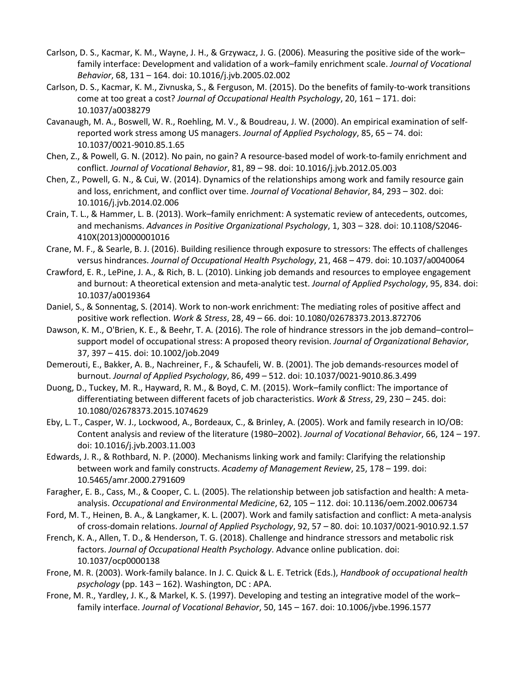- Carlson, D. S., Kacmar, K. M., Wayne, J. H., & Grzywacz, J. G. (2006). Measuring the positive side of the work– family interface: Development and validation of a work–family enrichment scale. *Journal of Vocational Behavior*, 68, 131 – 164. doi: 10.1016/j.jvb.2005.02.002
- Carlson, D. S., Kacmar, K. M., Zivnuska, S., & Ferguson, M. (2015). Do the benefits of family-to-work transitions come at too great a cost? *Journal of Occupational Health Psychology*, 20, 161 – 171. doi: 10.1037/a0038279
- Cavanaugh, M. A., Boswell, W. R., Roehling, M. V., & Boudreau, J. W. (2000). An empirical examination of selfreported work stress among US managers. *Journal of Applied Psychology*, 85, 65 – 74. doi: 10.1037/0021-9010.85.1.65
- Chen, Z., & Powell, G. N. (2012). No pain, no gain? A resource-based model of work-to-family enrichment and conflict. *Journal of Vocational Behavior*, 81, 89 – 98. doi: 10.1016/j.jvb.2012.05.003
- Chen, Z., Powell, G. N., & Cui, W. (2014). Dynamics of the relationships among work and family resource gain and loss, enrichment, and conflict over time. *Journal of Vocational Behavior*, 84, 293 – 302. doi: 10.1016/j.jvb.2014.02.006
- Crain, T. L., & Hammer, L. B. (2013). Work–family enrichment: A systematic review of antecedents, outcomes, and mechanisms. *Advances in Positive Organizational Psychology*, 1, 303 – 328. doi: 10.1108/S2046- 410X(2013)0000001016
- Crane, M. F., & Searle, B. J. (2016). Building resilience through exposure to stressors: The effects of challenges versus hindrances. *Journal of Occupational Health Psychology*, 21, 468 – 479. doi: 10.1037/a0040064
- Crawford, E. R., LePine, J. A., & Rich, B. L. (2010). Linking job demands and resources to employee engagement and burnout: A theoretical extension and meta-analytic test. *Journal of Applied Psychology*, 95, 834. doi: 10.1037/a0019364
- Daniel, S., & Sonnentag, S. (2014). Work to non-work enrichment: The mediating roles of positive affect and positive work reflection. *Work & Stress*, 28, 49 – 66. doi: 10.1080/02678373.2013.872706
- Dawson, K. M., O'Brien, K. E., & Beehr, T. A. (2016). The role of hindrance stressors in the job demand–control– support model of occupational stress: A proposed theory revision. *Journal of Organizational Behavior*, 37, 397 – 415. doi: 10.1002/job.2049
- Demerouti, E., Bakker, A. B., Nachreiner, F., & Schaufeli, W. B. (2001). The job demands-resources model of burnout. *Journal of Applied Psychology*, 86, 499 – 512. doi: 10.1037/0021-9010.86.3.499
- Duong, D., Tuckey, M. R., Hayward, R. M., & Boyd, C. M. (2015). Work–family conflict: The importance of differentiating between different facets of job characteristics. *Work & Stress*, 29, 230 – 245. doi: 10.1080/02678373.2015.1074629
- Eby, L. T., Casper, W. J., Lockwood, A., Bordeaux, C., & Brinley, A. (2005). Work and family research in IO/OB: Content analysis and review of the literature (1980–2002). *Journal of Vocational Behavior*, 66, 124 – 197. doi: 10.1016/j.jvb.2003.11.003
- Edwards, J. R., & Rothbard, N. P. (2000). Mechanisms linking work and family: Clarifying the relationship between work and family constructs. *Academy of Management Review*, 25, 178 – 199. doi: 10.5465/amr.2000.2791609
- Faragher, E. B., Cass, M., & Cooper, C. L. (2005). The relationship between job satisfaction and health: A metaanalysis. *Occupational and Environmental Medicine*, 62, 105 – 112. doi: 10.1136/oem.2002.006734
- Ford, M. T., Heinen, B. A., & Langkamer, K. L. (2007). Work and family satisfaction and conflict: A meta-analysis of cross-domain relations. *Journal of Applied Psychology*, 92, 57 – 80. doi: 10.1037/0021-9010.92.1.57
- French, K. A., Allen, T. D., & Henderson, T. G. (2018). Challenge and hindrance stressors and metabolic risk factors. *Journal of Occupational Health Psychology*. Advance online publication. doi: 10.1037/ocp0000138
- Frone, M. R. (2003). Work-family balance. In J. C. Quick & L. E. Tetrick (Eds.), *Handbook of occupational health psychology* (pp. 143 – 162). Washington, DC : APA.
- Frone, M. R., Yardley, J. K., & Markel, K. S. (1997). Developing and testing an integrative model of the work– family interface. *Journal of Vocational Behavior*, 50, 145 – 167. doi: 10.1006/jvbe.1996.1577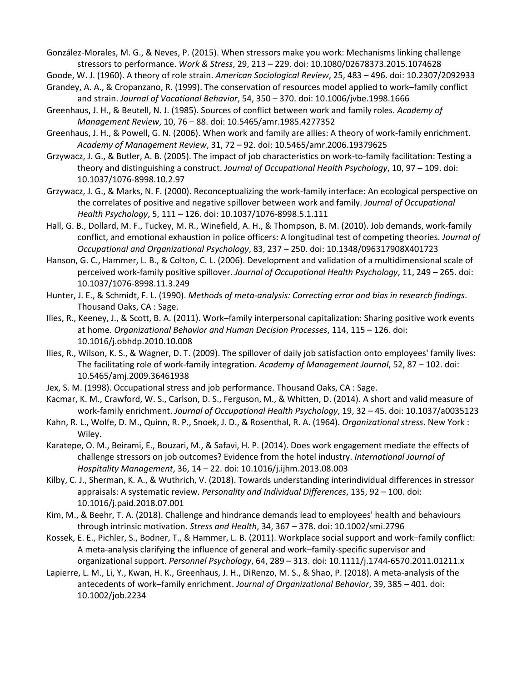González-Morales, M. G., & Neves, P. (2015). When stressors make you work: Mechanisms linking challenge stressors to performance. *Work & Stress*, 29, 213 – 229. doi: 10.1080/02678373.2015.1074628

Goode, W. J. (1960). A theory of role strain. *American Sociological Review*, 25, 483 – 496. doi: 10.2307/2092933

- Grandey, A. A., & Cropanzano, R. (1999). The conservation of resources model applied to work–family conflict and strain. *Journal of Vocational Behavior*, 54, 350 – 370. doi: 10.1006/jvbe.1998.1666
- Greenhaus, J. H., & Beutell, N. J. (1985). Sources of conflict between work and family roles. *Academy of Management Review*, 10, 76 – 88. doi: 10.5465/amr.1985.4277352
- Greenhaus, J. H., & Powell, G. N. (2006). When work and family are allies: A theory of work-family enrichment. *Academy of Management Review*, 31, 72 – 92. doi: 10.5465/amr.2006.19379625
- Grzywacz, J. G., & Butler, A. B. (2005). The impact of job characteristics on work-to-family facilitation: Testing a theory and distinguishing a construct. *Journal of Occupational Health Psychology*, 10, 97 – 109. doi: 10.1037/1076-8998.10.2.97
- Grzywacz, J. G., & Marks, N. F. (2000). Reconceptualizing the work-family interface: An ecological perspective on the correlates of positive and negative spillover between work and family. *Journal of Occupational Health Psychology*, 5, 111 – 126. doi: 10.1037/1076-8998.5.1.111
- Hall, G. B., Dollard, M. F., Tuckey, M. R., Winefield, A. H., & Thompson, B. M. (2010). Job demands, work-family conflict, and emotional exhaustion in police officers: A longitudinal test of competing theories. *Journal of Occupational and Organizational Psychology*, 83, 237 – 250. doi: 10.1348/096317908X401723
- Hanson, G. C., Hammer, L. B., & Colton, C. L. (2006). Development and validation of a multidimensional scale of perceived work-family positive spillover. *Journal of Occupational Health Psychology*, 11, 249 – 265. doi: 10.1037/1076-8998.11.3.249
- Hunter, J. E., & Schmidt, F. L. (1990). *Methods of meta-analysis: Correcting error and bias in research findings*. Thousand Oaks, CA : Sage.
- Ilies, R., Keeney, J., & Scott, B. A. (2011). Work–family interpersonal capitalization: Sharing positive work events at home. *Organizational Behavior and Human Decision Processes*, 114, 115 – 126. doi: 10.1016/j.obhdp.2010.10.008
- Ilies, R., Wilson, K. S., & Wagner, D. T. (2009). The spillover of daily job satisfaction onto employees' family lives: The facilitating role of work-family integration. *Academy of Management Journal*, 52, 87 – 102. doi: 10.5465/amj.2009.36461938
- Jex, S. M. (1998). Occupational stress and job performance. Thousand Oaks, CA : Sage.
- Kacmar, K. M., Crawford, W. S., Carlson, D. S., Ferguson, M., & Whitten, D. (2014). A short and valid measure of work-family enrichment. *Journal of Occupational Health Psychology*, 19, 32 – 45. doi: 10.1037/a0035123
- Kahn, R. L., Wolfe, D. M., Quinn, R. P., Snoek, J. D., & Rosenthal, R. A. (1964). *Organizational stress*. New York : Wiley.
- Karatepe, O. M., Beirami, E., Bouzari, M., & Safavi, H. P. (2014). Does work engagement mediate the effects of challenge stressors on job outcomes? Evidence from the hotel industry. *International Journal of Hospitality Management*, 36, 14 – 22. doi: 10.1016/j.ijhm.2013.08.003
- Kilby, C. J., Sherman, K. A., & Wuthrich, V. (2018). Towards understanding interindividual differences in stressor appraisals: A systematic review. *Personality and Individual Differences*, 135, 92 – 100. doi: 10.1016/j.paid.2018.07.001
- Kim, M., & Beehr, T. A. (2018). Challenge and hindrance demands lead to employees' health and behaviours through intrinsic motivation. *Stress and Health*, 34, 367 – 378. doi: 10.1002/smi.2796
- Kossek, E. E., Pichler, S., Bodner, T., & Hammer, L. B. (2011). Workplace social support and work–family conflict: A meta-analysis clarifying the influence of general and work–family-specific supervisor and organizational support. *Personnel Psychology*, 64, 289 – 313. doi: 10.1111/j.1744-6570.2011.01211.x
- Lapierre, L. M., Li, Y., Kwan, H. K., Greenhaus, J. H., DiRenzo, M. S., & Shao, P. (2018). A meta-analysis of the antecedents of work–family enrichment. *Journal of Organizational Behavior*, 39, 385 – 401. doi: 10.1002/job.2234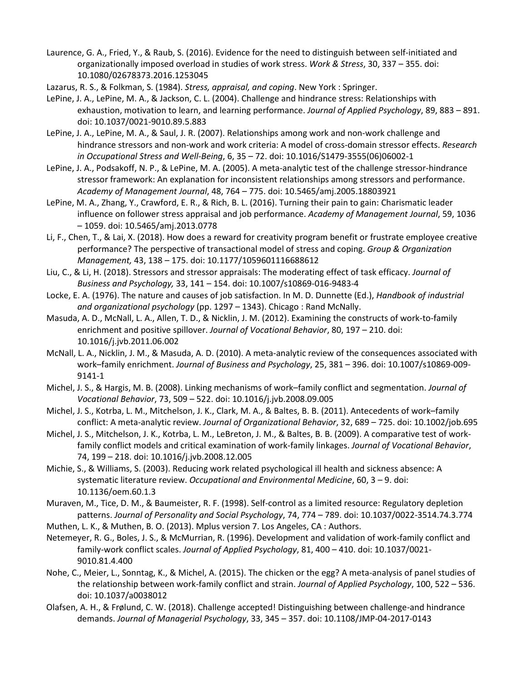- Laurence, G. A., Fried, Y., & Raub, S. (2016). Evidence for the need to distinguish between self-initiated and organizationally imposed overload in studies of work stress. *Work & Stress*, 30, 337 – 355. doi: 10.1080/02678373.2016.1253045
- Lazarus, R. S., & Folkman, S. (1984). *Stress, appraisal, and coping*. New York : Springer.
- LePine, J. A., LePine, M. A., & Jackson, C. L. (2004). Challenge and hindrance stress: Relationships with exhaustion, motivation to learn, and learning performance. *Journal of Applied Psychology*, 89, 883 – 891. doi: 10.1037/0021-9010.89.5.883
- LePine, J. A., LePine, M. A., & Saul, J. R. (2007). Relationships among work and non-work challenge and hindrance stressors and non-work and work criteria: A model of cross-domain stressor effects. *Research in Occupational Stress and Well-Being*, 6, 35 – 72. doi: 10.1016/S1479-3555(06)06002-1
- LePine, J. A., Podsakoff, N. P., & LePine, M. A. (2005). A meta-analytic test of the challenge stressor-hindrance stressor framework: An explanation for inconsistent relationships among stressors and performance. *Academy of Management Journal*, 48, 764 – 775. doi: 10.5465/amj.2005.18803921
- LePine, M. A., Zhang, Y., Crawford, E. R., & Rich, B. L. (2016). Turning their pain to gain: Charismatic leader influence on follower stress appraisal and job performance. *Academy of Management Journal*, 59, 1036 – 1059. doi: 10.5465/amj.2013.0778
- Li, F., Chen, T., & Lai, X. (2018). How does a reward for creativity program benefit or frustrate employee creative performance? The perspective of transactional model of stress and coping. *Group & Organization Management,* 43, 138 – 175. doi: 10.1177/1059601116688612
- Liu, C., & Li, H. (2018). Stressors and stressor appraisals: The moderating effect of task efficacy. *Journal of Business and Psychology,* 33, 141 – 154. doi: 10.1007/s10869-016-9483-4
- Locke, E. A. (1976). The nature and causes of job satisfaction. In M. D. Dunnette (Ed.), *Handbook of industrial and organizational psychology* (pp. 1297 – 1343). Chicago : Rand McNally.
- Masuda, A. D., McNall, L. A., Allen, T. D., & Nicklin, J. M. (2012). Examining the constructs of work-to-family enrichment and positive spillover. *Journal of Vocational Behavior*, 80, 197 – 210. doi: 10.1016/j.jvb.2011.06.002
- McNall, L. A., Nicklin, J. M., & Masuda, A. D. (2010). A meta-analytic review of the consequences associated with work–family enrichment. *Journal of Business and Psychology*, 25, 381 – 396. doi: 10.1007/s10869-009- 9141-1
- Michel, J. S., & Hargis, M. B. (2008). Linking mechanisms of work–family conflict and segmentation. *Journal of Vocational Behavior*, 73, 509 – 522. doi: 10.1016/j.jvb.2008.09.005
- Michel, J. S., Kotrba, L. M., Mitchelson, J. K., Clark, M. A., & Baltes, B. B. (2011). Antecedents of work–family conflict: A meta-analytic review. *Journal of Organizational Behavior*, 32, 689 – 725. doi: 10.1002/job.695
- Michel, J. S., Mitchelson, J. K., Kotrba, L. M., LeBreton, J. M., & Baltes, B. B. (2009). A comparative test of workfamily conflict models and critical examination of work-family linkages. *Journal of Vocational Behavior*, 74, 199 – 218. doi: 10.1016/j.jvb.2008.12.005
- Michie, S., & Williams, S. (2003). Reducing work related psychological ill health and sickness absence: A systematic literature review. *Occupational and Environmental Medicine*, 60, 3 – 9. doi: 10.1136/oem.60.1.3
- Muraven, M., Tice, D. M., & Baumeister, R. F. (1998). Self-control as a limited resource: Regulatory depletion patterns. *Journal of Personality and Social Psychology*, 74, 774 – 789. doi: 10.1037/0022-3514.74.3.774
- Muthen, L. K., & Muthen, B. O. (2013). Mplus version 7. Los Angeles, CA : Authors.
- Netemeyer, R. G., Boles, J. S., & McMurrian, R. (1996). Development and validation of work-family conflict and family-work conflict scales. *Journal of Applied Psychology*, 81, 400 – 410. doi: 10.1037/0021- 9010.81.4.400
- Nohe, C., Meier, L., Sonntag, K., & Michel, A. (2015). The chicken or the egg? A meta-analysis of panel studies of the relationship between work-family conflict and strain. *Journal of Applied Psychology*, 100, 522 – 536. doi: 10.1037/a0038012
- Olafsen, A. H., & Frølund, C. W. (2018). Challenge accepted! Distinguishing between challenge-and hindrance demands. *Journal of Managerial Psychology*, 33, 345 – 357. doi: 10.1108/JMP-04-2017-0143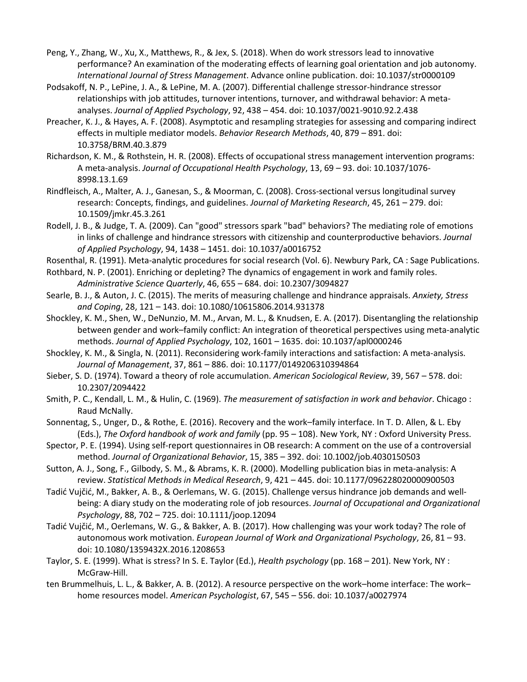Peng, Y., Zhang, W., Xu, X., Matthews, R., & Jex, S. (2018). When do work stressors lead to innovative performance? An examination of the moderating effects of learning goal orientation and job autonomy. *International Journal of Stress Management*. Advance online publication. doi: 10.1037/str0000109

Podsakoff, N. P., LePine, J. A., & LePine, M. A. (2007). Differential challenge stressor-hindrance stressor relationships with job attitudes, turnover intentions, turnover, and withdrawal behavior: A metaanalyses. *Journal of Applied Psychology*, 92, 438 – 454. doi: 10.1037/0021-9010.92.2.438

Preacher, K. J., & Hayes, A. F. (2008). Asymptotic and resampling strategies for assessing and comparing indirect effects in multiple mediator models. *Behavior Research Methods*, 40, 879 – 891. doi: 10.3758/BRM.40.3.879

Richardson, K. M., & Rothstein, H. R. (2008). Effects of occupational stress management intervention programs: A meta-analysis. *Journal of Occupational Health Psychology*, 13, 69 – 93. doi: 10.1037/1076- 8998.13.1.69

Rindfleisch, A., Malter, A. J., Ganesan, S., & Moorman, C. (2008). Cross-sectional versus longitudinal survey research: Concepts, findings, and guidelines. *Journal of Marketing Research*, 45, 261 – 279. doi: 10.1509/jmkr.45.3.261

Rodell, J. B., & Judge, T. A. (2009). Can "good" stressors spark "bad" behaviors? The mediating role of emotions in links of challenge and hindrance stressors with citizenship and counterproductive behaviors. *Journal of Applied Psychology*, 94, 1438 – 1451. doi: 10.1037/a0016752

Rosenthal, R. (1991). Meta-analytic procedures for social research (Vol. 6). Newbury Park, CA : Sage Publications.

Rothbard, N. P. (2001). Enriching or depleting? The dynamics of engagement in work and family roles. *Administrative Science Quarterly*, 46, 655 – 684. doi: 10.2307/3094827

Searle, B. J., & Auton, J. C. (2015). The merits of measuring challenge and hindrance appraisals. *Anxiety, Stress and Coping*, 28, 121 – 143. doi: 10.1080/10615806.2014.931378

Shockley, K. M., Shen, W., DeNunzio, M. M., Arvan, M. L., & Knudsen, E. A. (2017). Disentangling the relationship between gender and work–family conflict: An integration of theoretical perspectives using meta-analytic methods. *Journal of Applied Psychology*, 102, 1601 – 1635. doi: 10.1037/apl0000246

Shockley, K. M., & Singla, N. (2011). Reconsidering work-family interactions and satisfaction: A meta-analysis. *Journal of Management*, 37, 861 – 886. doi: 10.1177/0149206310394864

Sieber, S. D. (1974). Toward a theory of role accumulation. *American Sociological Review*, 39, 567 – 578. doi: 10.2307/2094422

Smith, P. C., Kendall, L. M., & Hulin, C. (1969). *The measurement of satisfaction in work and behavior*. Chicago : Raud McNally.

Sonnentag, S., Unger, D., & Rothe, E. (2016). Recovery and the work–family interface. In T. D. Allen, & L. Eby (Eds.), *The Oxford handbook of work and family* (pp. 95 – 108). New York, NY : Oxford University Press.

Spector, P. E. (1994). Using self-report questionnaires in OB research: A comment on the use of a controversial method. *Journal of Organizational Behavior*, 15, 385 – 392. doi: 10.1002/job.4030150503

Sutton, A. J., Song, F., Gilbody, S. M., & Abrams, K. R. (2000). Modelling publication bias in meta-analysis: A review. *Statistical Methods in Medical Research*, 9, 421 – 445. doi: 10.1177/096228020000900503

Tadić Vujčić, M., Bakker, A. B., & Oerlemans, W. G. (2015). Challenge versus hindrance job demands and wellbeing: A diary study on the moderating role of job resources. *Journal of Occupational and Organizational Psychology*, 88, 702 – 725. doi: 10.1111/joop.12094

Tadić Vujčić, M., Oerlemans, W. G., & Bakker, A. B. (2017). How challenging was your work today? The role of autonomous work motivation. *European Journal of Work and Organizational Psychology*, 26, 81 – 93. doi: 10.1080/1359432X.2016.1208653

Taylor, S. E. (1999). What is stress? In S. E. Taylor (Ed.), *Health psychology* (pp. 168 – 201). New York, NY : McGraw-Hill.

ten Brummelhuis, L. L., & Bakker, A. B. (2012). A resource perspective on the work–home interface: The work– home resources model. *American Psychologist*, 67, 545 – 556. doi: 10.1037/a0027974